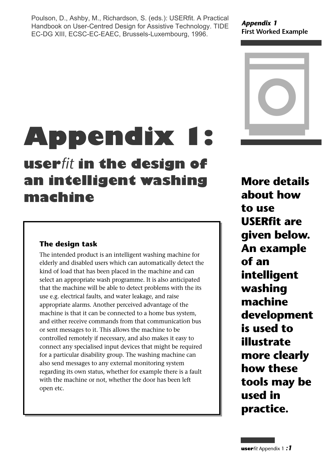Poulson, D., Ashby, M., Richardson, S. (eds.): USERfit. A Practical Handbook on User-Centred Design for Assistive Technology. TIDE EC-DG XIII, ECSC-EC-EAEC, Brussels-Luxembourg, 1996.

*Appendix 1* **First Worked Example**



# **Appendix 1:**

# **user***fit* **in the design of an intelligent washing machine**

# **The design task**

The intended product is an intelligent washing machine for elderly and disabled users which can automatically detect the kind of load that has been placed in the machine and can select an appropriate wash programme. It is also anticipated that the machine will be able to detect problems with the its use e.g. electrical faults, and water leakage, and raise appropriate alarms. Another perceived advantage of the machine is that it can be connected to a home bus system, and either receive commands from that communication bus or sent messages to it. This allows the machine to be controlled remotely if necessary, and also makes it easy to connect any specialised input devices that might be required for a particular disability group. The washing machine can also send messages to any external monitoring system regarding its own status, whether for example there is a fault with the machine or not, whether the door has been left open etc.

**More details about how to use USERfit are given below. An example of an intelligent washing machine development is used to illustrate more clearly how these tools may be used in practice.**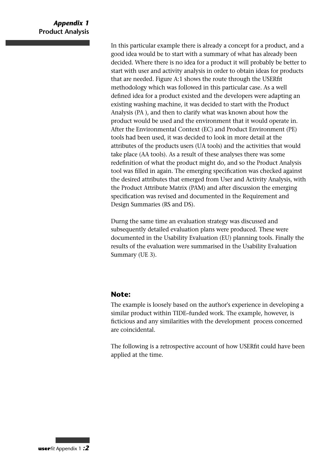In this particular example there is already a concept for a product, and a good idea would be to start with a summary of what has already been decided. Where there is no idea for a product it will probably be better to start with user and activity analysis in order to obtain ideas for products that are needed. Figure A:1 shows the route through the USERfit methodology which was followed in this particular case. As a well defined idea for a product existed and the developers were adapting an existing washing machine, it was decided to start with the Product Analysis (PA ), and then to clarify what was known about how the product would be used and the environment that it would operate in. After the Environmental Context (EC) and Product Environment (PE) tools had been used, it was decided to look in more detail at the attributes of the products users (UA tools) and the activities that would take place (AA tools). As a result of these analyses there was some redefinition of what the product might do, and so the Product Analysis tool was filled in again. The emerging specification was checked against the desired attributes that emerged from User and Activity Analysis, with the Product Attribute Matrix (PAM) and after discussion the emerging specification was revised and documented in the Requirement and Design Summaries (RS and DS).

Durng the same time an evaluation strategy was discussed and subsequently detailed evaluation plans were produced. These were documented in the Usability Evaluation (EU) planning tools. Finally the results of the evaluation were summarised in the Usability Evaluation Summary (UE 3).

#### **Note:**

The example is loosely based on the author's experience in developing a similar product within TIDE–funded work. The example, however, is ficticious and any similarities with the development process concerned are coincidental.

The following is a retrospective account of how USERfit could have been applied at the time.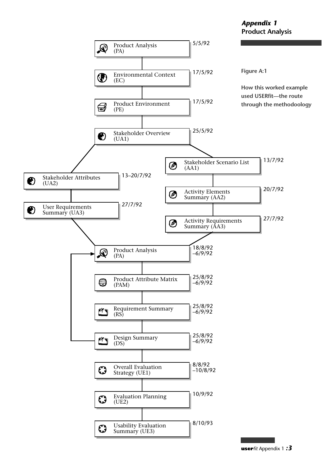#### *Appendix 1* **Product Analysis**

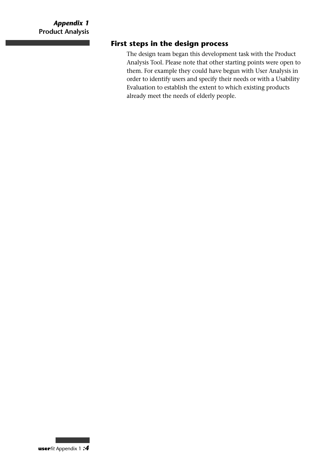# **First steps in the design process**

The design team began this development task with the Product Analysis Tool. Please note that other starting points were open to them. For example they could have begun with User Analysis in order to identify users and specify their needs or with a Usability Evaluation to establish the extent to which existing products already meet the needs of elderly people.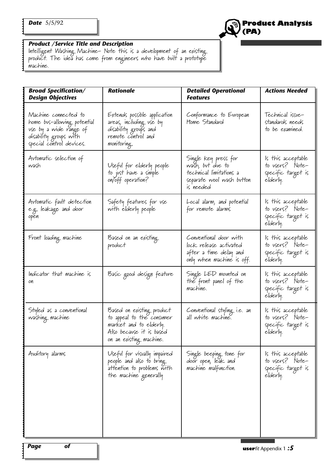

#### *Product /Service Title and Description*

Intelligent Washing Machine- Note this is a development of an existing product. The idea has come from engineers who have built a prototype machine.

| <b>Broad Specification/</b><br><b>Design Objectives</b>                                                                             | <b>Rationale</b>                                                                                                                        | <b>Detailed Operational</b><br>Features                                                                       | <b>Actions Needed</b>                                                   |
|-------------------------------------------------------------------------------------------------------------------------------------|-----------------------------------------------------------------------------------------------------------------------------------------|---------------------------------------------------------------------------------------------------------------|-------------------------------------------------------------------------|
| Machine connected to<br>home bus-allowing potential<br>vse by a wide range of<br>disability groups with<br>special control devices. | Extends possible application<br>areas, including use by<br>disability groups and<br>remote control and<br>monitoring.                   | Conformance to European<br>Home Standard                                                                      | Technical issue-<br>standards needs<br>to be examined.                  |
| Avtomatic selection of<br>wash                                                                                                      | Useful for elderly people<br>to just have a simple<br>on/off operation?                                                                 | Single key press for<br>wašh, but due to<br>technical limitations a<br>separate wool wash button<br>is needed | ls this acceptable<br>to users? Note-<br>specific target is<br>elderly. |
| Automatic fault detection<br>e.g. leakage and door<br>open                                                                          | Safety features for use<br>with elderly people                                                                                          | Local alarm, and potential<br>for remote alarms                                                               | ls this acceptable<br>to users? Note-<br>specific target is<br>elderly. |
| Front loading machine                                                                                                               | Based on an existing<br>product                                                                                                         | Conventional door with<br>lock release activated<br>after a time delay and<br>only when machine is off.       | ls this acceptable<br>to users? Note-<br>specific target is<br>elderly. |
| Indicator that machine is<br>on                                                                                                     | Basic good design featvre                                                                                                               | Single LED movnted on<br>the front panel of the<br>machine.                                                   | ls this acceptable<br>to users? Note-<br>specific target is<br>allod    |
| Styled as a conventional<br>washing machine                                                                                         | Based on existing product<br>to appeal to the consumer<br>market and to elderly.<br>Also becavse it is based<br>on an existing machine. | Conventional styling i.e. an<br>all white machine.                                                            | ls this acceptable<br>to vsers? Note-<br>specific target is<br>elderly. |
| Auditory alarms                                                                                                                     | Useful for visually impaired<br>people and also to bring<br>attention to problems with<br>the machine generally                         | Single beeping tone for<br>door open, leak and<br>machine malfunction.                                        | ls this acceptable<br>to users? Note-<br>specific target is<br>elderly. |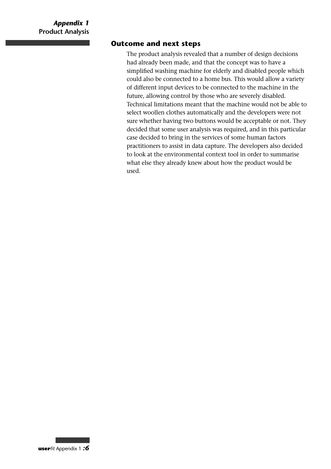#### **Outcome and next steps**

The product analysis revealed that a number of design decisions had already been made, and that the concept was to have a simplified washing machine for elderly and disabled people which could also be connected to a home bus. This would allow a variety of different input devices to be connected to the machine in the future, allowing control by those who are severely disabled. Technical limitations meant that the machine would not be able to select woollen clothes automatically and the developers were not sure whether having two buttons would be acceptable or not. They decided that some user analysis was required, and in this particular case decided to bring in the services of some human factors practitioners to assist in data capture. The developers also decided to look at the environmental context tool in order to summarise what else they already knew about how the product would be used.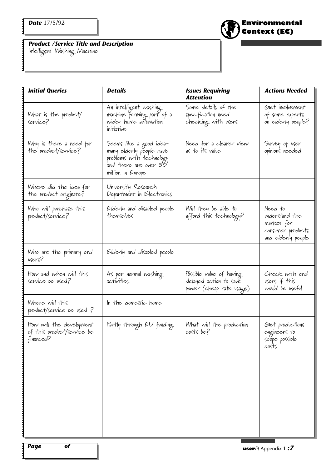**Environmental Context (EC)**

*Product /Service Title and Description*

Intelligent Washing Machine

| <b>Initial Queries</b>                                               | <b>Details</b>                                                                                                                | <b>Issues Requiring</b><br>Attention                                           | <b>Actions Needed</b>                                                              |
|----------------------------------------------------------------------|-------------------------------------------------------------------------------------------------------------------------------|--------------------------------------------------------------------------------|------------------------------------------------------------------------------------|
| What is the product/<br>service?                                     | An intelligent washing<br>machine forming part of a<br>wider home automation<br>initiative                                    | Some details of the<br>specification need<br>checking with users               | Glet involvement<br>of some experts<br>on elderly people?                          |
| Why is there a need for<br>the product/service?                      | Seems like a good idea-<br>many elderly people have<br>problems with technology<br>and there are over 50<br>million in Evrope | Need for a clearer view<br>as to its value                                     | Svrvey of vser<br>opinions needed                                                  |
| Where did the idea for<br>the product originate?                     | University Research<br>Department in Electronics                                                                              |                                                                                |                                                                                    |
| Who will purchase this<br>product/service?                           | Elderly and disabled people<br>themselves                                                                                     | Will they be able to<br>afford this technology?                                | Need to<br>understand the<br>market for<br>consumer products<br>and elderly people |
| Who are the primary end<br>users?                                    | Elderly and disabled people                                                                                                   |                                                                                |                                                                                    |
| How and when will this<br>service be vsed?                           | As per normal washing<br>activities.                                                                                          | Possible value of having<br>delayed action to save<br>power (cheap rate vsage) | Check with end<br>vsers if this<br>would be useful                                 |
| Where will this<br>product/service be used?                          | In the domestic home                                                                                                          |                                                                                |                                                                                    |
| Itow will the development<br>of this product/service be<br>financed? | Partly through EU funding.                                                                                                    | What will the production<br>costs be?                                          | Glet productions<br>engineers to<br>scope possible<br>costs                        |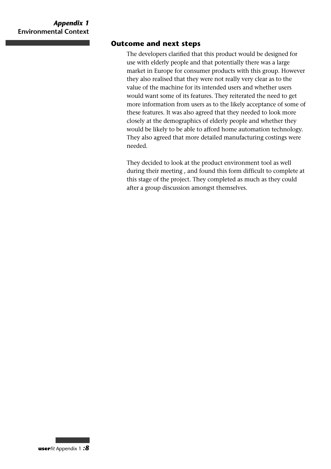#### **Outcome and next steps**

The developers clarified that this product would be designed for use with elderly people and that potentially there was a large market in Europe for consumer products with this group. However they also realised that they were not really very clear as to the value of the machine for its intended users and whether users would want some of its features. They reiterated the need to get more information from users as to the likely acceptance of some of these features. It was also agreed that they needed to look more closely at the demographics of elderly people and whether they would be likely to be able to afford home automation technology. They also agreed that more detailed manufacturing costings were needed.

They decided to look at the product environment tool as well during their meeting , and found this form difficult to complete at this stage of the project. They completed as much as they could after a group discussion amongst themselves.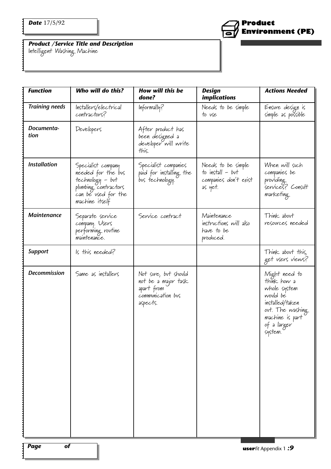

*Product /Service Title and Description*

Intelligent Washing Machine

| <b>Function</b>       | Who will do this?                                                                                                             | How will this be<br>done?                                                                  | <b>Design</b><br><i>implications</i>                                         | <b>Actions Needed</b>                                                                                                                        |
|-----------------------|-------------------------------------------------------------------------------------------------------------------------------|--------------------------------------------------------------------------------------------|------------------------------------------------------------------------------|----------------------------------------------------------------------------------------------------------------------------------------------|
| <b>Training needs</b> | Installers/electrical<br>contractors?                                                                                         | Informally?                                                                                | Needs to be simple<br>to vse                                                 | Ensure design is<br>simple as possible                                                                                                       |
| Documenta-<br>tion    | Developers                                                                                                                    | After product has<br>been designed a<br>developer will write<br>this.                      |                                                                              |                                                                                                                                              |
| <b>Installation</b>   | Specialist company<br>needed for the bus<br>technology - but<br>plumbing contractors<br>can be used for the<br>machine itself | Specialist companies<br>paid for installing the<br>bus technology.                         | Needs to be simple<br>to install $-$ but<br>companies don't exist<br>as yet. | When will such<br>companies be<br>providing<br>services? Consult<br>marketing                                                                |
| <b>Maintenance</b>    | Separate service<br>company. Users<br>performing rovtine<br>maintenance.                                                      | Service contract                                                                           | Maintenance<br>instructions will also<br>have to be<br>produced.             | Think about<br>resources needed                                                                                                              |
| <b>Support</b>        | Is this needed?                                                                                                               |                                                                                            |                                                                              | Think about this,<br>get vsers views?                                                                                                        |
| Decommission          | Same as installers                                                                                                            | Not sure, but should<br>not be a major task<br>apart from<br>communication bus<br>aspects. |                                                                              | Might need to<br>think how a<br>whole system<br>would be<br>installed/taken<br>ovt. The washing<br>machine is part<br>of a larger<br>system. |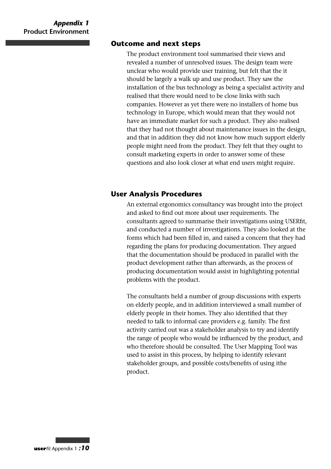#### **Outcome and next steps**

The product environment tool summarised their views and revealed a number of unresolved issues. The design team were unclear who would provide user training, but felt that the it should be largely a walk up and use product. They saw the installation of the bus technology as being a specialist activity and realised that there would need to be close links with such companies. However as yet there were no installers of home bus technology in Europe, which would mean that they would not have an immediate market for such a product. They also realised that they had not thought about maintenance issues in the design, and that in addition they did not know how much support elderly people might need from the product. They felt that they ought to consult marketing experts in order to answer some of these questions and also look closer at what end users might require.

#### **User Analysis Procedures**

An external ergonomics consultancy was brought into the project and asked to find out more about user requirements. The consultants agreed to summarise their investigations using USERfit, and conducted a number of investigations. They also looked at the forms which had been filled in, and raised a concern that they had regarding the plans for producing documentation. They argued that the documentation should be produced in parallel with the product development rather than afterwards, as the process of producing documentation would assist in highlighting potential problems with the product.

The consultants held a number of group discussions with experts on elderly people, and in addition interviewed a small number of elderly people in their homes. They also identified that they needed to talk to informal care providers e.g. family. The first activity carried out was a stakeholder analysis to try and identify the range of people who would be influenced by the product, and who therefore should be consulted. The User Mapping Tool was used to assist in this process, by helping to identify relevant stakeholder groups, and possible costs/benefits of using ithe product.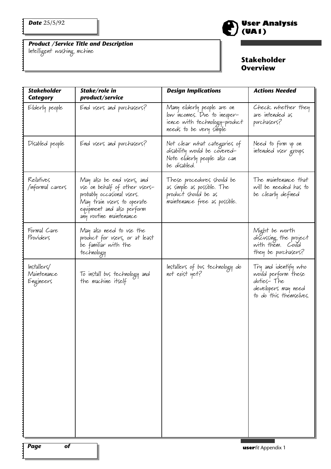*Product /Service Title and Description* Intelligent washing mchine



### **Stakeholder Overview**

| <b>Stakeholder</b><br>Category         | Stake/role in<br>product/service                                                                                                                                                 | <b>Design Implications</b>                                                                                              | <b>Actions Needed</b>                                                                                      |
|----------------------------------------|----------------------------------------------------------------------------------------------------------------------------------------------------------------------------------|-------------------------------------------------------------------------------------------------------------------------|------------------------------------------------------------------------------------------------------------|
| Elderly people                         | End users and purchasers?                                                                                                                                                        | Many elderly people are on<br>low incomes. Due to inexper-<br>'ience with technology-product<br>needs to be very simple | Check whether they<br>are intended as<br>purchasers?                                                       |
| Disabled people                        | End users and purchasers?                                                                                                                                                        | Not clear what categories of<br>disability would be covered-<br>Note elderly people also can<br>be disabled.            | Need to firm up on<br>intended vser groups                                                                 |
| Relatives<br>informal carers/          | May also be end users, and<br>use on behalf of other users-<br>probably occasional users.<br>May train users to operate<br>equipment and also perform<br>any routine maintenance | These procedures should be<br>as simple as possible. The<br>product should be as<br>maintenance free as possible.       | The maintenance that<br>will be needed has to<br>be clearly defined                                        |
| Formal Care<br>Providers               | May also need to use the<br>product for users, or at least<br>be familiar with the<br>technology                                                                                 |                                                                                                                         | Might be worth<br>discussing the project<br>with them. Could<br>they be purchasers?                        |
| Installest<br>Maintenance<br>Engineers | To install bus technology and<br>the machine itself                                                                                                                              | Installers of bus technology do<br>not exist yet?                                                                       | Try and identify who<br>would perform these<br>duties-The<br>developers may need<br>to do this themselves. |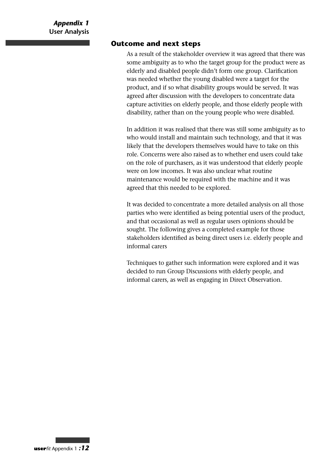#### **Outcome and next steps**

As a result of the stakeholder overview it was agreed that there was some ambiguity as to who the target group for the product were as elderly and disabled people didn't form one group. Clarification was needed whether the young disabled were a target for the product, and if so what disability groups would be served. It was agreed after discussion with the developers to concentrate data capture activities on elderly people, and those elderly people with disability, rather than on the young people who were disabled.

In addition it was realised that there was still some ambiguity as to who would install and maintain such technology, and that it was likely that the developers themselves would have to take on this role. Concerns were also raised as to whether end users could take on the role of purchasers, as it was understood that elderly people were on low incomes. It was also unclear what routine maintenance would be required with the machine and it was agreed that this needed to be explored.

It was decided to concentrate a more detailed analysis on all those parties who were identified as being potential users of the product, and that occasional as well as regular users opinions should be sought. The following gives a completed example for those stakeholders identified as being direct users i.e. elderly people and informal carers

Techniques to gather such information were explored and it was decided to run Group Discussions with elderly people, and informal carers, as well as engaging in Direct Observation.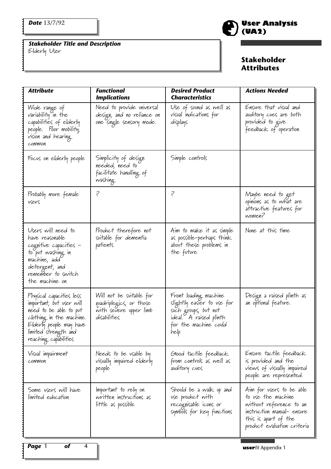$\ddot{\cdot}$ 

........

 $\ddot{\cdot}$ 

*Stakeholder Title and Description*

Elderly User



| <b>Attribute</b>                                                                                                                                                                        | <b>Functional</b><br><b>Implications</b>                                                      | <b>Desired Product</b><br><b>Characteristics</b>                                                                                       | <b>Actions Needed</b>                                                                                                                                          |
|-----------------------------------------------------------------------------------------------------------------------------------------------------------------------------------------|-----------------------------------------------------------------------------------------------|----------------------------------------------------------------------------------------------------------------------------------------|----------------------------------------------------------------------------------------------------------------------------------------------------------------|
| Wide range of<br>variability in the<br>capabilities of elderly<br>people. Poor mobility,<br>vision and hearing<br>common                                                                | Need to provide universal<br>design, and no reliance on<br>one single sensory mode.           | Use of sound as well as<br>visual indications for<br>displays                                                                          | Ensure that visual and<br>avditory cues are both<br>provided to give<br>feedback of operation                                                                  |
| Focus on elderly people                                                                                                                                                                 | Simplicity of design<br>needed, need to<br>facilitate handling of<br>washing                  | Simple controls                                                                                                                        |                                                                                                                                                                |
| Probably more female<br>vsers                                                                                                                                                           | Ş                                                                                             | Ş                                                                                                                                      | Maybe need to get<br>opinions as to what are<br>attractive features for<br>women?                                                                              |
| Users will need to<br>have reasonable<br>cognitive capacities -<br>to put washing in<br>machine, add<br>detergent, and<br>remember to switch<br>the machine on                          | Product therefore not<br>svitable for dementia<br>patients                                    | Aim to make it as simple<br>as possible-perhaps think<br>about these problems in<br>the future                                         | None at this time                                                                                                                                              |
| Physical capacities less<br>important, but user will<br>need to be able to put<br>clothing in the machine.<br>Elderly people may have<br>l'imited strength and<br>reaching capabilities | Will not be svitable for<br>quadriplegics, or those<br>with severe upper limb<br>disabilities | Front loading machine<br>slightly easier to use for<br>such groups, but not<br>ideal. A raised plinth<br>for the machine could<br>help | Design a raised plinth as<br>an optional feature.                                                                                                              |
| Visual impairment<br>common                                                                                                                                                             | Needs to be vsable by<br>visually impaired elderly<br>people                                  | Good tactile feedback<br>from controls as well as<br>avditory cues                                                                     | Ensure tactile feedback<br>is provided and the<br>views of visually impaired<br>people are represented.                                                        |
| Some users will have<br>l'imited education                                                                                                                                              | Important to rely on<br>written instructions as<br>little as possible                         | Should be a walk up and<br>use product with<br>recognisable icons or<br>symbols for key functions                                      | Aim for users to be able<br>to vse the machine<br>without reference to an<br>instruction manual- ensure<br>this is apart of the<br>product evaluation criteria |
| of<br><b>Page</b> 1<br>4                                                                                                                                                                |                                                                                               |                                                                                                                                        | <b>userfit Appendix 1</b>                                                                                                                                      |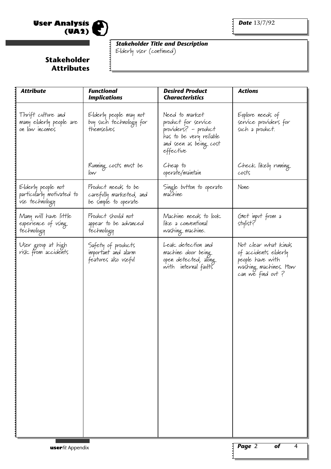

<u>:</u>

*Stakeholder Title and Description*

Elderly user (continued)

| <b>Attribute</b>                                                  | <b>Functional</b><br><b>Implications</b>                               | <b>Desired Product</b><br><b>Characteristics</b>                                                                                | <b>Actions</b>                                                                                                 |
|-------------------------------------------------------------------|------------------------------------------------------------------------|---------------------------------------------------------------------------------------------------------------------------------|----------------------------------------------------------------------------------------------------------------|
| Thrift culture and<br>many elderly people are<br>on low incomes   | Elderly people may not<br>buy such technology for<br>themselves        | Need to market<br>product for service<br>providers? - product<br>has to be very reliable<br>and seen as being cost<br>effective | Explore needs of<br>service providers for<br>such a product.                                                   |
|                                                                   | Running costs must be<br>low                                           | Cheap to<br>operate/maintain                                                                                                    | Check likely running<br>costs                                                                                  |
| Elderly people not<br>particularly motivated to<br>use technology | Product needs to be<br>carefully marketed, and<br>be simple to operate | Single button to operate<br>machine                                                                                             | None                                                                                                           |
| Many will have little<br>experience of using<br>technology        | Product should not<br>appear to be advanced<br>technology              | Machine needs to look<br>like a conventional<br>washing machine.                                                                | Glet input from a<br>stylist?                                                                                  |
| User group at high<br>risk from accidents                         | Safety of products<br>important and alarm<br>features also useful      | Leak detection and<br>machine door being<br>open detected, along<br>with internal faults                                        | Not clear what kinds<br>of accidents elderly<br>people have with<br>washing machines. How<br>can we find out ? |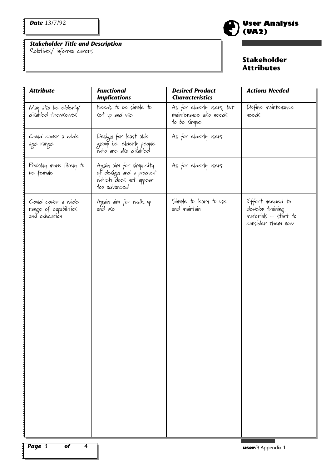$\mathbf{i}$ 

*Stakeholder Title and Description*





| <b>Attribute</b>                                             | <b>Functional</b><br><b>Implications</b>                                                     | <b>Desired Product</b><br><b>Characteristics</b>                     | <b>Actions Needed</b>                                                             |
|--------------------------------------------------------------|----------------------------------------------------------------------------------------------|----------------------------------------------------------------------|-----------------------------------------------------------------------------------|
| May also be elderly/<br>d'isabled themselves                 | Needs to be simple to<br>set up and use                                                      | As for elderly users, but<br>maintenance also needs<br>to be simple. | Define maintenance<br>needs                                                       |
| Could cover a wide<br>age range                              | Design for least able<br>group i.e. elderly people<br>who are also disabled                  | As for elderly users                                                 |                                                                                   |
| Probably more likely to<br>be female                         | Again aim for simplicity<br>of design and a product<br>which does not appear<br>too advanced | As for elderly users                                                 |                                                                                   |
| Could cover a wide<br>range of capabilities<br>and education | Again aim for walk up<br>and use                                                             | Simple to learn to use<br>and maintain                               | Effort needed to<br>develop training<br>materials – start to<br>consider them now |
| $\sqrt{2}$ Page 3<br>$\overline{of}$<br>$\overline{4}$       |                                                                                              |                                                                      | <b>userfit Appendix 1</b>                                                         |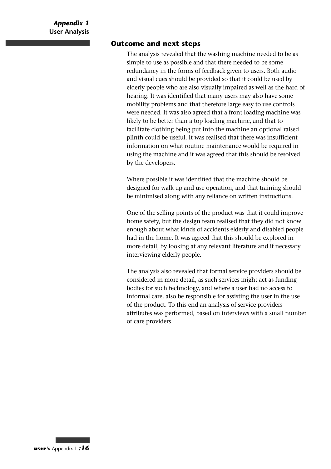#### **Outcome and next steps**

The analysis revealed that the washing machine needed to be as simple to use as possible and that there needed to be some redundancy in the forms of feedback given to users. Both audio and visual cues should be provided so that it could be used by elderly people who are also visually impaired as well as the hard of hearing. It was identified that many users may also have some mobility problems and that therefore large easy to use controls were needed. It was also agreed that a front loading machine was likely to be better than a top loading machine, and that to facilitate clothing being put into the machine an optional raised plinth could be useful. It was realised that there was insufficient information on what routine maintenance would be required in using the machine and it was agreed that this should be resolved by the developers.

Where possible it was identified that the machine should be designed for walk up and use operation, and that training should be minimised along with any reliance on written instructions.

One of the selling points of the product was that it could improve home safety, but the design team realised that they did not know enough about what kinds of accidents elderly and disabled people had in the home. It was agreed that this should be explored in more detail, by looking at any relevant literature and if necessary interviewing elderly people.

The analysis also revealed that formal service providers should be considered in more detail, as such services might act as funding bodies for such technology, and where a user had no access to informal care, also be responsible for assisting the user in the use of the product. To this end an analysis of service providers attributes was performed, based on interviews with a small number of care providers.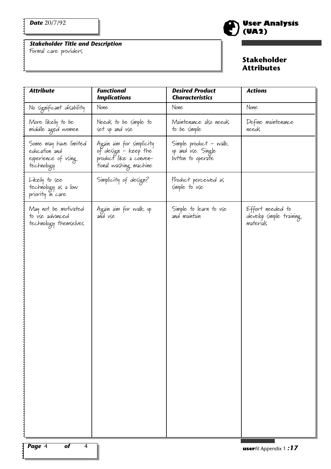E

*Stakeholder Title and Description*

Formal care providers

# **User Analysis (UA2)**

| No significant disability<br>None<br>None<br>None<br>Needs to be simple to<br>Maintenance also needs<br>Define maintenance<br>More likely to be<br>middle aged women<br>set up and use<br>needs<br>to be simple<br>Simple product - walk<br>up and use. Single<br>Some may have limited<br>edvcation and<br>Again aim for simplicity<br>of design - keep the<br>experience of using<br>product like a conven-<br>button to operate<br>'tíonal washing machine<br>technology<br>Simplicity of design?<br>Product perceived as<br>Likely to see<br>simple to use<br>technology as a low<br>priority in care<br>May not be motivated<br>to use advanced<br>Simple to learn to use<br>Effort needed to<br>Again aim for walk up<br>and use<br>develop simple training<br>and maintain<br>materials<br>technology themselves | <b>Attribute</b> | <b>Functional</b><br><b>Implications</b> | <b>Desired Product</b><br><b>Characteristics</b> | <b>Actions</b> |
|-------------------------------------------------------------------------------------------------------------------------------------------------------------------------------------------------------------------------------------------------------------------------------------------------------------------------------------------------------------------------------------------------------------------------------------------------------------------------------------------------------------------------------------------------------------------------------------------------------------------------------------------------------------------------------------------------------------------------------------------------------------------------------------------------------------------------|------------------|------------------------------------------|--------------------------------------------------|----------------|
|                                                                                                                                                                                                                                                                                                                                                                                                                                                                                                                                                                                                                                                                                                                                                                                                                         |                  |                                          |                                                  |                |
|                                                                                                                                                                                                                                                                                                                                                                                                                                                                                                                                                                                                                                                                                                                                                                                                                         |                  |                                          |                                                  |                |
|                                                                                                                                                                                                                                                                                                                                                                                                                                                                                                                                                                                                                                                                                                                                                                                                                         |                  |                                          |                                                  |                |
|                                                                                                                                                                                                                                                                                                                                                                                                                                                                                                                                                                                                                                                                                                                                                                                                                         |                  |                                          |                                                  |                |
|                                                                                                                                                                                                                                                                                                                                                                                                                                                                                                                                                                                                                                                                                                                                                                                                                         |                  |                                          |                                                  |                |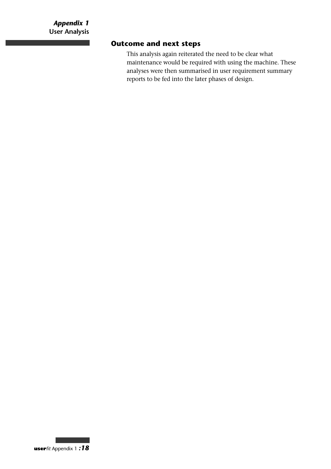m.

# **Outcome and next steps**

This analysis again reiterated the need to be clear what maintenance would be required with using the machine. These analyses were then summarised in user requirement summary reports to be fed into the later phases of design.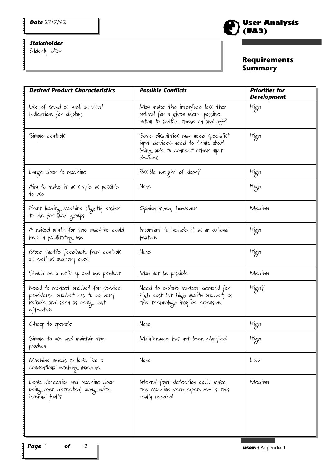# *Stakeholder*

Elderly User

# **User Analysis (UA3)**

# **Requirements Summary**

| May make the interface less than                                                                                           |        |
|----------------------------------------------------------------------------------------------------------------------------|--------|
| optimal for a given user- possible<br>option to switch these on and off?                                                   | High   |
| Some disabilities may need specialist<br>input devices-need to think about<br>being able to connect other input<br>devices | High   |
| Possible weight of door?                                                                                                   | High   |
| None                                                                                                                       | High   |
| Opinion mixed, however                                                                                                     | Medium |
| Important to include it as an optional<br>feature                                                                          | High   |
| None                                                                                                                       | High   |
| May not be possible                                                                                                        | Medium |
| Need to explore market demand for<br>high cost but high quality product, as<br>the technology may be expensive.            | High?  |
| None                                                                                                                       | High   |
| Maintenance has not been clarified                                                                                         | High   |
| None                                                                                                                       | Low    |
| Internal fault detection could make<br>the machine very expensive- is this<br>really needed                                | Medium |
|                                                                                                                            |        |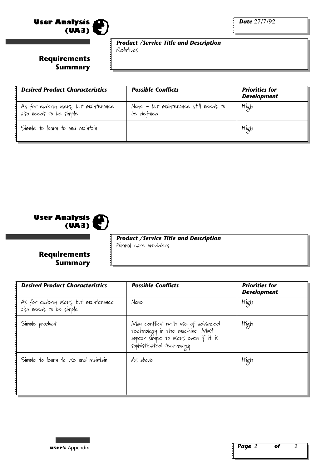

*Product /Service Title and Description* Relatives

# **Requirements Summary**

| <b>Desired Product Characteristics</b>                           | <b>Possible Conflicts</b>                            | <b>Priorities for</b><br><b>Development</b> |
|------------------------------------------------------------------|------------------------------------------------------|---------------------------------------------|
| As for elderly vsers, but maintenance<br>also needs to be simple | None - but maintenance still needs to<br>be defined. | High                                        |
| Simple to learn to and maintain                                  |                                                      | High                                        |



*Product /Service Title and Description* Formal care providers

# **Requirements Summary**

| <b>Desired Product Characteristics</b>                           | <b>Possible Conflicts</b>                                                                                                                | <b>Priorities for</b><br><b>Development</b> |
|------------------------------------------------------------------|------------------------------------------------------------------------------------------------------------------------------------------|---------------------------------------------|
| As for elderly vsers, but maintenance<br>also needs to be simple | None                                                                                                                                     | High                                        |
| Simple product                                                   | May conflict with use of advanced<br>technology in the machine. Must<br>appear simple to users even if it is<br>sophisticated technology | High                                        |
| Simple to learn to use and maintain                              | As above                                                                                                                                 | High                                        |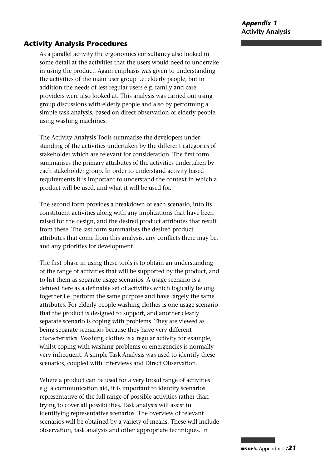# **Activity Analysis Procedures**

As a parallel activity the ergonomics consultancy also looked in some detail at the activities that the users would need to undertake in using the product. Again emphasis was given to understanding the activities of the main user group i.e. elderly people, but in addition the needs of less regular users e.g. family and care providers were also looked at. This analysis was carried out using group discussions with elderly people and also by performing a simple task analysis, based on direct observation of elderly people using washing machines.

The Activity Analysis Tools summarise the developers understanding of the activities undertaken by the different categories of stakeholder which are relevant for consideration. The first form summarises the primary attributes of the activities undertaken by each stakeholder group. In order to understand activity based requirements it is important to understand the context in which a product will be used, and what it will be used for.

The second form provides a breakdown of each scenario, into its constituent activities along with any implications that have been raised for the design, and the desired product attributes that result from these. The last form summarises the desired product attributes that come from this analysis, any conflicts there may be, and any priorities for development.

The first phase in using these tools is to obtain an understanding of the range of activities that will be supported by the product, and to list them as separate usage scenarios. A usage scenario is a defined here as a definable set of activities which logically belong together i.e. perform the same purpose and have largely the same attributes. For elderly people washing clothes is one usage scenario that the product is designed to support, and another clearly separate scenario is coping with problems. They are viewed as being separate scenarios because they have very different characteristics. Washing clothes is a regular activity for example, whilst coping with washing problems or emergencies is normally very infrequent. A simple Task Analysis was used to identify these scenarios, coupled with Interviews and Direct Observation.

Where a product can be used for a very broad range of activities e.g. a communication aid, it is important to identify scenarios representative of the full range of possible activities rather than trying to cover all possibilities. Task analysis will assist in identifying representative scenarios. The overview of relevant scenarios will be obtained by a variety of means. These will include observation, task analysis and other appropriate techniques. In

**user***fit* Appendix 1 *:21*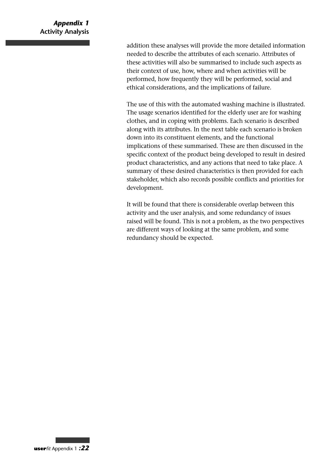# *Appendix 1* **Activity Analysis**

addition these analyses will provide the more detailed information needed to describe the attributes of each scenario. Attributes of these activities will also be summarised to include such aspects as their context of use, how, where and when activities will be performed, how frequently they will be performed, social and ethical considerations, and the implications of failure.

The use of this with the automated washing machine is illustrated. The usage scenarios identified for the elderly user are for washing clothes, and in coping with problems. Each scenario is described along with its attributes. In the next table each scenario is broken down into its constituent elements, and the functional implications of these summarised. These are then discussed in the specific context of the product being developed to result in desired product characteristics, and any actions that need to take place. A summary of these desired characteristics is then provided for each stakeholder, which also records possible conflicts and priorities for development.

It will be found that there is considerable overlap between this activity and the user analysis, and some redundancy of issues raised will be found. This is not a problem, as the two perspectives are different ways of looking at the same problem, and some redundancy should be expected.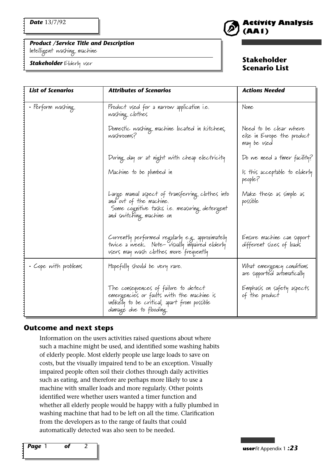#### *Product /Service Title and Description*

Intelligent washing machine

*Stakeholder* Elderly user



## **Stakeholder Scenario List**

| <b>List of Scenarios</b> | <b>Attributes of Scenarios</b>                                                                                                                               | <b>Actions Needed</b>                                               |
|--------------------------|--------------------------------------------------------------------------------------------------------------------------------------------------------------|---------------------------------------------------------------------|
| • Perform washing        | Product used for a narrow application i.e.<br>washing clothes                                                                                                | None                                                                |
|                          | Domestic washing machine located in Kitchens,<br>washrooms?                                                                                                  | Need to be clear where<br>else in Evrope the product<br>may be used |
|                          | During day or at night with cheap electricity                                                                                                                | Do we need a timer facility?                                        |
|                          | Machine to be plumbed in                                                                                                                                     | Is this acceptable to elderly<br>people?                            |
|                          | Large manual aspect of transferring clothes into<br>and out of the machine.<br>Some cognitive tasks i.e. measuring detergent<br>and switching machine on     | Make these as simple as<br>possible                                 |
|                          | Currently performed regularly e.g. approximately<br>twice a week. Note-visually impaired elderly<br>users may wash clothes more frequently                   | Ensure machine can support<br>different sizes of loads              |
| • Cope with problems     | Hopefully should be very rare.                                                                                                                               | What emergency conditions<br>are supported automatically            |
|                          | The consequences of failure to detect<br>emergencies or faults with the machine is<br>unlikely to be critical, apart from possible<br>damage due to flooding | Emphasis on safety aspects<br>of the product                        |

#### **Outcome and next steps**

Information on the users activities raised questions about where such a machine might be used, and identified some washing habits of elderly people. Most elderly people use large loads to save on costs, but the visually impaired tend to be an exception. Visually impaired people often soil their clothes through daily activities such as eating, and therefore are perhaps more likely to use a machine with smaller loads and more regularly. Other points identified were whether users wanted a timer function and whether all elderly people would be happy with a fully plumbed in washing machine that had to be left on all the time. Clarification from the developers as to the range of faults that could automatically detected was also seen to be needed.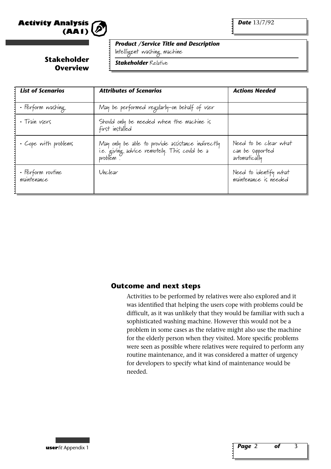

*Date* 13/7/92

#### *Product /Service Title and Description*

Intelligent washing machine

**Stakeholder Overview**

*Stakeholder* Relative

| <b>List of Scenarios</b>         | <b>Attributes of Scenarios</b>                                                                               | <b>Actions Needed</b>                                      |
|----------------------------------|--------------------------------------------------------------------------------------------------------------|------------------------------------------------------------|
| • Perform washing                | May be performed regularly-on behalf of user                                                                 |                                                            |
| · Train users                    | Should only be needed when the machine is<br>first installed                                                 |                                                            |
| • Cope with problems             | May only be able to provide assistance indirectly<br>i.e. giving advice remotely. This could be a<br>problem | Need to be clear what<br>can be supported<br>automatically |
| • Perform rovtine<br>maintenance | Unclear                                                                                                      | Need to identify what<br>maintenance is needed             |

#### **Outcome and next steps**

Activities to be performed by relatives were also explored and it was identified that helping the users cope with problems could be difficult, as it was unlikely that they would be familiar with such a sophisticated washing machine. However this would not be a problem in some cases as the relative might also use the machine for the elderly person when they visited. More specific problems were seen as possible where relatives were required to perform any routine maintenance, and it was considered a matter of urgency for developers to specify what kind of maintenance would be needed.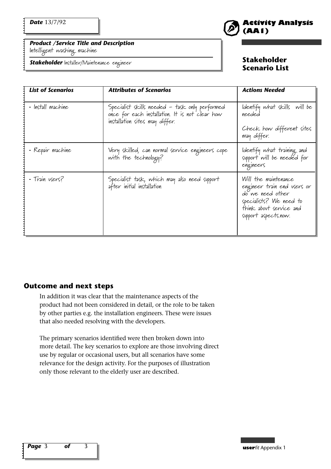#### *Product /Service Title and Description*

Intelligent washing machine

*Stakeholder* Installer/Maintenance engineer

# **Activity Analysis (AA1)**

#### **Stakeholder Scenario List**

| <b>List of Scenarios</b> | <b>Attributes of Scenarios</b>                                                                                                      | <b>Actions Needed</b>                                                                                                                                 |
|--------------------------|-------------------------------------------------------------------------------------------------------------------------------------|-------------------------------------------------------------------------------------------------------------------------------------------------------|
| · Install machine        | Specialist skills needed - task only performed<br>once for each installation. It is not clear how<br>installation sites may differ. | Identify what skills will be<br>needed<br>Check how different sites                                                                                   |
|                          |                                                                                                                                     | may differ.                                                                                                                                           |
| • Repair machine         | Very skilled, can normal service engineers cope<br>with the technology?                                                             | ldentify what training and<br>support will be needed for<br>engineers                                                                                 |
| - Train users?           | Specialist task, which may also need support<br>after initial installation                                                          | Will the maintenance<br>engineer train end users or<br>do we need other<br>specialists? We need to<br>think about service and<br>support aspects.now. |

#### **Outcome and next steps**

In addition it was clear that the maintenance aspects of the product had not been considered in detail, or the role to be taken by other parties e.g. the installation engineers. These were issues that also needed resolving with the developers.

The primary scenarios identified were then broken down into more detail. The key scenarios to explore are those involving direct use by regular or occasional users, but all scenarios have some relevance for the design activity. For the purposes of illustration only those relevant to the elderly user are described.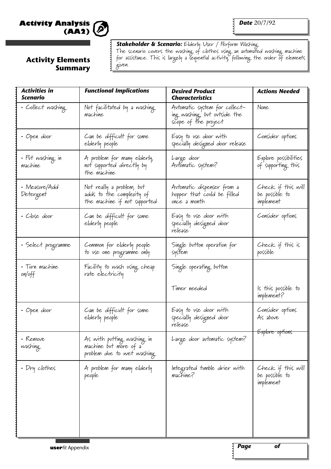

## **Activity Elements Summary**

*Stakeholder & Scenario:* Elderly User / Perform Washing The scenario covers the washing of clothes using an automated washing machine for assistance. This is largely a sequential activity, following the order of elements given.

| <b>Activities in</b><br>Scenario | <b>Functional Implications</b>                                                         | <b>Desired Product</b><br><b>Characteristics</b>                                      | <b>Actions Needed</b>                             |
|----------------------------------|----------------------------------------------------------------------------------------|---------------------------------------------------------------------------------------|---------------------------------------------------|
| · Collect washing                | Not facilitated by a washing<br>machine                                                | Avtomatic system for collect-<br>ing washing, but outside the<br>scope of the project | None                                              |
| – Open door                      | Can be difficult for some<br>elderly people                                            | Easy to vse door with<br>specially designed door release                              | Consider options                                  |
| • Put washing in<br>machine      | A problem for many elderly,<br>not supported directly by<br>the machine                | Large door<br>Automatic system?                                                       | Explore possibilities<br>of supporting this       |
| • Measure/Add<br>Detergent       | Not really a problem, but<br>adds to the complexity of<br>the machine if not supported | Automatic dispenser from a<br>hopper that could be filled<br>once a month             | Check if this will<br>be possible to<br>implement |
| • Close door                     | Can be difficult for some<br>elderly people                                            | Easy to use door with<br>specially designed door<br>release                           | Consider options                                  |
| • Select programme               | Common for elderly people<br>to use one programme only                                 | Single button operation for<br>system                                                 | Check if this is<br>possible                      |
| • Turn machine<br>on/off         | Facility to wash using cheap<br>rate electricity                                       | Single operating button                                                               |                                                   |
|                                  |                                                                                        | Timer needed                                                                          | ls this possible to<br>implement?                 |
| • Open door                      | Can be difficult for some<br>elderly people                                            | Easy to vse door with<br>specially designed door<br>release                           | Consider options<br>As above                      |
| - Remove<br>washing              | As with putting washing in<br>machine but more of a<br>problem dve to wet washing      | Large door avtomatic system?                                                          | <del>Explore options</del>                        |
| • Dry clothes                    | A problem for many elderly<br>people                                                   | Integrated tumble drier with<br>machine?                                              | Check if this will<br>be possible to<br>implement |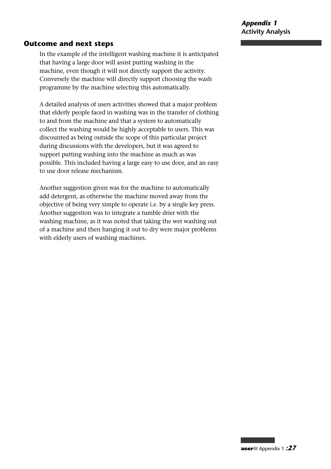## **Outcome and next steps**

In the example of the intelligent washing machine it is anticipated that having a large door will assist putting washing in the machine, even though it will not directly support the activity. Conversely the machine will directly support choosing the wash programme by the machine selecting this automatically.

A detailed analysis of users activities showed that a major problem that elderly people faced in washing was in the transfer of clothing to and from the machine and that a system to automatically collect the washing would be highly acceptable to users. This was discounted as being outside the scope of this particular project during discussions with the developers, but it was agreed to support putting washing into the machine as much as was possible. This included having a large easy to use door, and an easy to use door release mechanism.

Another suggestion given was for the machine to automatically add detergent, as otherwise the machine moved away from the objective of being very simple to operate i.e. by a single key press. Another suggestion was to integrate a tumble drier with the washing machine, as it was noted that taking the wet washing out of a machine and then hanging it out to dry were major problems with elderly users of washing machines.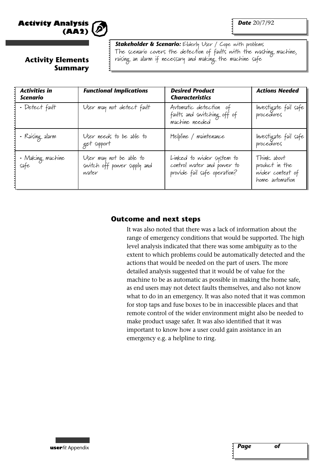

*Date* 20/7/92

**Stakeholder & Scenario:** Elderly User / Cope with problems The scenario covers the detection of faults with the washing machine, raising an alarm if necessary and making the machine safe

# **Activity Elements Summary**

| <b>Activities in</b><br>Scenario | <b>Functional Implications</b>                                  | <b>Desired Product</b><br><b>Characteristics</b>                                        | <b>Actions Needed</b>                                                |  |  |
|----------------------------------|-----------------------------------------------------------------|-----------------------------------------------------------------------------------------|----------------------------------------------------------------------|--|--|
| • Detect fault                   | User may not detect fault                                       | Automatic detection of<br>faults and switching off of<br>machine needed                 | Investigate fail safe<br>procedures                                  |  |  |
| - Raising alarm                  | User needs to be able to<br>get support                         | Helpline / maintenance                                                                  | Investigate fail safe<br>procedures                                  |  |  |
| • Making machine<br>safe         | User may not be able to<br>switch off power supply and<br>water | Linked to wider system to<br>control water and power to<br>provide fail safe operation? | Think about<br>product in the<br>wider context of<br>home automation |  |  |

# **Outcome and next steps**

It was also noted that there was a lack of information about the range of emergency conditions that would be supported. The high level analysis indicated that there was some ambiguity as to the extent to which problems could be automatically detected and the actions that would be needed on the part of users. The more detailed analysis suggested that it would be of value for the machine to be as automatic as possible in making the home safe, as end users may not detect faults themselves, and also not know what to do in an emergency. It was also noted that it was common for stop taps and fuse boxes to be in inaccessible places and that remote control of the wider environment might also be needed to make product usage safer. It was also identified that it was important to know how a user could gain assistance in an emergency e.g. a helpline to ring.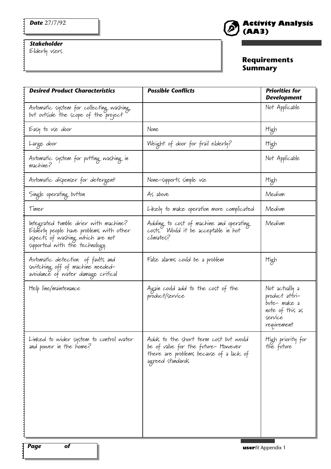# *Stakeholder*

Elderly users

# **Activity Analysis (AA3)**

# **Requirements Summary**

| <b>Desired Product Characteristics</b>                                                                                                                 | <b>Possible Conflicts</b>                                                                                                                   | <b>Priorities for</b><br><b>Development</b>                                                  |
|--------------------------------------------------------------------------------------------------------------------------------------------------------|---------------------------------------------------------------------------------------------------------------------------------------------|----------------------------------------------------------------------------------------------|
| Automatic system for collecting washing,<br>but outside the scope of the project                                                                       |                                                                                                                                             | Not Applicable                                                                               |
| Easy to use door                                                                                                                                       | None                                                                                                                                        | High                                                                                         |
| Large door                                                                                                                                             | Weight of door for frail elderly?                                                                                                           | High                                                                                         |
| Avtomatic system for putting washing in<br>machine?                                                                                                    |                                                                                                                                             | Not Applicable                                                                               |
| Avtomatic dispenser for detergent                                                                                                                      | None-supports simple use                                                                                                                    | High                                                                                         |
| Single operating button                                                                                                                                | As above                                                                                                                                    | Medium                                                                                       |
| Timer                                                                                                                                                  | Likely to make operation more complicated                                                                                                   | Medium                                                                                       |
| Integrated tumble drier with machine?<br>Elderly people have problems with other<br>aspects of washing which are not<br>supported with the technology. | Adding to cost of machine and operating<br>costs. Would it be acceptable in hot<br>climates?                                                | Medium                                                                                       |
| Avtomatic detection of favlts and<br>switching off of machine needed-<br>avoidance of water damage critical                                            | False alarms could be a problem                                                                                                             | High                                                                                         |
| Help line/maintenance                                                                                                                                  | Again could add to the cost of the<br>product/service                                                                                       | Not actually a<br>product attri-<br>bute-make a<br>note of this as<br>service<br>requirement |
| Linked to wider system to control water<br>and power in the home?                                                                                      | Adds to the short term cost but would<br>be of value for the future- However<br>there are problems because of a lack of<br>agreed standards | High priority for<br>the future                                                              |

 $\ddot{\cdot}$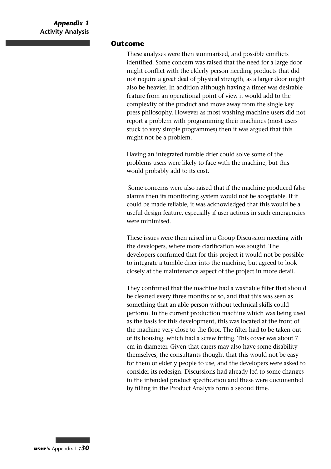#### **Outcome**

These analyses were then summarised, and possible conflicts identified. Some concern was raised that the need for a large door might conflict with the elderly person needing products that did not require a great deal of physical strength, as a larger door might also be heavier. In addition although having a timer was desirable feature from an operational point of view it would add to the complexity of the product and move away from the single key press philosophy. However as most washing machine users did not report a problem with programming their machines (most users stuck to very simple programmes) then it was argued that this might not be a problem.

Having an integrated tumble drier could solve some of the problems users were likely to face with the machine, but this would probably add to its cost.

Some concerns were also raised that if the machine produced false alarms then its monitoring system would not be acceptable. If it could be made reliable, it was acknowledged that this would be a useful design feature, especially if user actions in such emergencies were minimised.

These issues were then raised in a Group Discussion meeting with the developers, where more clarification was sought. The developers confirmed that for this project it would not be possible to integrate a tumble drier into the machine, but agreed to look closely at the maintenance aspect of the project in more detail.

They confirmed that the machine had a washable filter that should be cleaned every three months or so, and that this was seen as something that an able person without technical skills could perform. In the current production machine which was being used as the basis for this development, this was located at the front of the machine very close to the floor. The filter had to be taken out of its housing, which had a screw fitting. This cover was about 7 cm in diameter. Given that carers may also have some disability themselves, the consultants thought that this would not be easy for them or elderly people to use, and the developers were asked to consider its redesign. Discussions had already led to some changes in the intended product specification and these were documented by filling in the Product Analysis form a second time.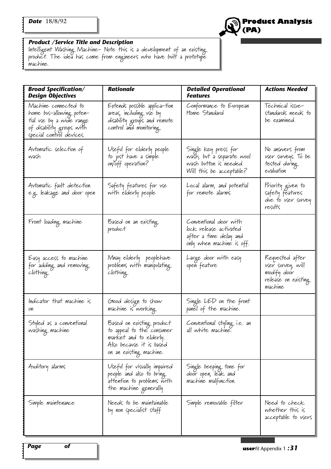

#### *Product /Service Title and Description*

Intelligent Washing Machine- Note this is a development of an existing product. The idea has come from engineers who have built a prototype machine.

| <b>Broad Specification/</b><br><b>Design Objectives</b>                                                                               | <b>Rationale</b>                                                                                                                        | <b>Detailed Operational</b><br><b>Features</b>                                                          | <b>Actions Needed</b>                                                                  |
|---------------------------------------------------------------------------------------------------------------------------------------|-----------------------------------------------------------------------------------------------------------------------------------------|---------------------------------------------------------------------------------------------------------|----------------------------------------------------------------------------------------|
| Machine connected to<br>home bus-allowing poten-<br>tial vse by a wide range<br>of disability groups with<br>special control devices. | Extends possible applica—tion<br>areas, including use by<br>disability groups and remote<br>control and monitoring.                     | Conformance to Evropean<br>Home Standard                                                                | Technical issue-<br>standards needs to<br>be examined.                                 |
| Avtomatic selection of<br>wash                                                                                                        | Useful for elderly people<br>to just have a simple<br>on/off operation?                                                                 | Single key press for<br>wašh, bvt a separate wool<br>wash button is needed.<br>Will this be acceptable? | No answers from<br>vser svrveys. To be<br>tested during<br>evaluation                  |
| Avtomatic fault detection<br>e.g. leakage and door open                                                                               | Safety features for use<br>with elderly people                                                                                          | Local alarm, and potential<br>for remote alarms                                                         | Priority given to<br>safety features<br>due to user survey<br>results                  |
| Front loading machine                                                                                                                 | Based on an existing.<br>product                                                                                                        | Conventional door with<br>lock release activated<br>after a time delay and<br>only when machine is off. |                                                                                        |
| Easy access to machine<br>for adding and removing<br>clothing                                                                         | Mnay elderly peoplehave<br>problems with manipulating<br>clothing                                                                       | Large door with easy<br>opeň featvre                                                                    | Requested after<br>user survey, will<br>modify door<br>release on existing.<br>machine |
| Indicator that machine is<br>on                                                                                                       | Glood design to show<br>machine is working                                                                                              | Single LED on the front<br>panel of the machine.                                                        |                                                                                        |
| Styled as a conventional<br>washing machine                                                                                           | Based on existing product<br>to appeal to the consumer<br>market and to elderly.<br>Also becavse it is based<br>on an existing machine. | Conventional styling i.e. an<br>all white machine.                                                      |                                                                                        |
| Avditory alarms                                                                                                                       | Useful for visually impaired<br>people and also to bring<br>attention to problems with<br>the machine generally                         | Single beeping tone for<br>door open, leak and<br>machine malfunction.                                  |                                                                                        |
| Simple maintenance                                                                                                                    | Needs to be maintainable<br>by non specialist staff                                                                                     | Simple removable filter                                                                                 | Need to check<br>whether this is<br>acceptable to users                                |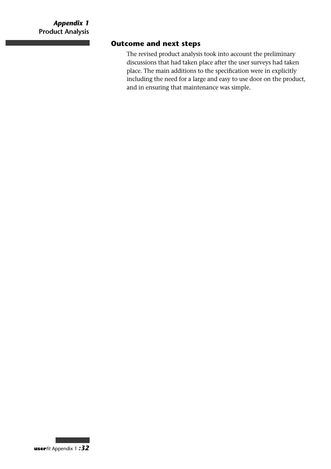# **Outcome and next steps**

The revised product analysis took into account the preliminary discussions that had taken place after the user surveys had taken place. The main additions to the specification were in explicitly including the need for a large and easy to use door on the product, and in ensuring that maintenance was simple.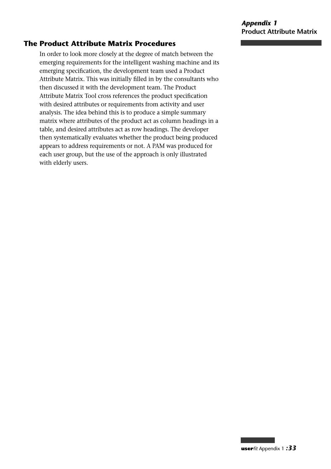## **The Product Attribute Matrix Procedures**

In order to look more closely at the degree of match between the emerging requirements for the intelligent washing machine and its emerging specification, the development team used a Product Attribute Matrix. This was initially filled in by the consultants who then discussed it with the development team. The Product Attribute Matrix Tool cross references the product specification with desired attributes or requirements from activity and user analysis. The idea behind this is to produce a simple summary matrix where attributes of the product act as column headings in a table, and desired attributes act as row headings. The developer then systematically evaluates whether the product being produced appears to address requirements or not. A PAM was produced for each user group, but the use of the approach is only illustrated with elderly users.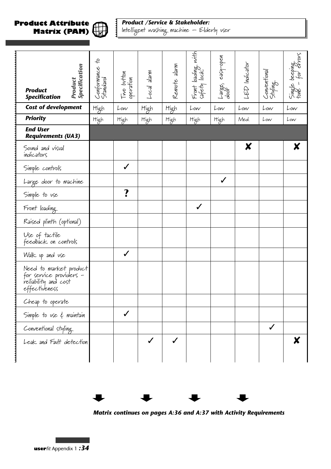#### **Product Attribute Matrix (PAM)**



# *Product /Service & Stakeholder:*

Intelligent washing machine – Elderly user

| <b>Product</b><br><b>Specification</b>                                                     | Specification<br>Product | 4<br>Conformance<br>Standard | Two button<br>operation | Anala lanm | Remote alam | Front loading with<br>safety lock | Large, easy-open<br>door | LED Indicator | Conventional<br>Styling | Single beeping<br>tone - for errors |
|--------------------------------------------------------------------------------------------|--------------------------|------------------------------|-------------------------|------------|-------------|-----------------------------------|--------------------------|---------------|-------------------------|-------------------------------------|
| <b>Cost of development</b>                                                                 |                          | High                         | Low                     | High       | High        | Low                               | Low                      | Low           | Low                     | Low                                 |
| <b>Priority</b>                                                                            |                          | High                         | High                    | High       | High        | High                              | High                     | Med.          | Low                     | Low                                 |
| <b>End User</b><br><b>Requirements (UA3)</b>                                               |                          |                              |                         |            |             |                                   |                          |               |                         |                                     |
| Sound and visual<br>indicators                                                             |                          |                              |                         |            |             |                                   |                          | X             |                         | X                                   |
| Simple controls                                                                            |                          |                              | $\checkmark$            |            |             |                                   |                          |               |                         |                                     |
| Large door to machine                                                                      |                          |                              |                         |            |             |                                   | $\checkmark$             |               |                         |                                     |
| Simple to use                                                                              |                          |                              | ?                       |            |             |                                   |                          |               |                         |                                     |
| Front loading                                                                              |                          |                              |                         |            |             | $\checkmark$                      |                          |               |                         |                                     |
| Raised plinth (optional)                                                                   |                          |                              |                         |            |             |                                   |                          |               |                         |                                     |
| Use of tactile<br>feedback on controls                                                     |                          |                              |                         |            |             |                                   |                          |               |                         |                                     |
| Walk up and use                                                                            |                          |                              |                         |            |             |                                   |                          |               |                         |                                     |
| Need to market product<br>for service providers -<br>reliability and cost<br>effectiveness |                          |                              |                         |            |             |                                   |                          |               |                         |                                     |
| Cheap to operate                                                                           |                          |                              |                         |            |             |                                   |                          |               |                         |                                     |
| Simple to use $\xi$ maintain                                                               |                          |                              |                         |            |             |                                   |                          |               |                         |                                     |
| Conventional styling                                                                       |                          |                              |                         |            |             |                                   |                          |               |                         |                                     |
| Leak and Fault detection                                                                   |                          |                              |                         |            |             |                                   |                          |               |                         | X                                   |



*Matrix continues on pages A:36 and A:37 with Activity Requirements*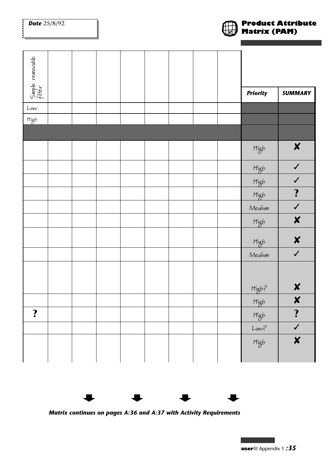| <b>Date</b> 25/8/92        |  |  |  |  | <b>Product Attribute</b><br><b>Matrix (PAM)</b> |                  |  |
|----------------------------|--|--|--|--|-------------------------------------------------|------------------|--|
| Simple removable<br>filter |  |  |  |  | <b>Priority</b>                                 | <b>SUMMARY</b>   |  |
| Low                        |  |  |  |  |                                                 |                  |  |
| High                       |  |  |  |  |                                                 |                  |  |
|                            |  |  |  |  |                                                 |                  |  |
|                            |  |  |  |  | High                                            | $\boldsymbol{x}$ |  |
|                            |  |  |  |  | High                                            | $\checkmark$     |  |
|                            |  |  |  |  | High                                            | $\checkmark$     |  |
|                            |  |  |  |  | High                                            | $\ddot{\cdot}$   |  |
|                            |  |  |  |  | Medium                                          | $\checkmark$     |  |
|                            |  |  |  |  | High                                            | $\boldsymbol{x}$ |  |
|                            |  |  |  |  | High                                            | X                |  |
|                            |  |  |  |  | Medium                                          | $\checkmark$     |  |
|                            |  |  |  |  |                                                 |                  |  |
|                            |  |  |  |  | High?                                           | X                |  |
|                            |  |  |  |  | High                                            | X                |  |
| $\ddot{\mathbf{?}}$        |  |  |  |  | High                                            | $\ddot{\cdot}$   |  |
|                            |  |  |  |  | $Low$ ?                                         | $\checkmark$     |  |
|                            |  |  |  |  | High                                            | X                |  |



*Matrix continues on pages A:36 and A:37 with Activity Requirements*



÷.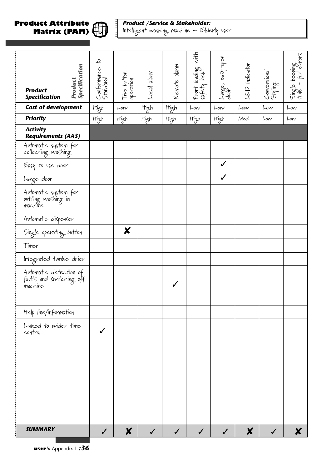#### **Product Attribute Matrix (PAM)**



 $\ddot{\ddot{\cdot}}$ 

*Product /Service & Stakeholder:* Intelligent washing machine – Elderly user

| Specification<br><b>Product</b><br><b>Product</b><br><b>Specification</b> | 4<br>Conformance<br>Standard | Two button<br>operation | Mueje jeso-  | Remote alam | Front loading with<br>safety lock | Large, easy-open<br>door | <b>LED</b> Indicator | Conventional<br>Styling | Single beeping<br>tone - for errors |
|---------------------------------------------------------------------------|------------------------------|-------------------------|--------------|-------------|-----------------------------------|--------------------------|----------------------|-------------------------|-------------------------------------|
| <b>Cost of development</b>                                                | High                         | Low                     | High         | High        | Low                               | Low                      | Low                  | Low                     | Low                                 |
| <b>Priority</b>                                                           | High                         | High                    | High         | High        | High                              | High                     | Med.                 | Low                     | Low                                 |
| <b>Activity</b><br><b>Requirements (AA3)</b>                              |                              |                         |              |             |                                   |                          |                      |                         |                                     |
| Automatic system for<br>collecting washing                                |                              |                         |              |             |                                   |                          |                      |                         |                                     |
| Easy to use door                                                          |                              |                         |              |             |                                   |                          |                      |                         |                                     |
| Large door                                                                |                              |                         |              |             |                                   |                          |                      |                         |                                     |
| Avtomatic system for<br>putting washing in<br>machine                     |                              |                         |              |             |                                   |                          |                      |                         |                                     |
| Automatic dispenser                                                       |                              |                         |              |             |                                   |                          |                      |                         |                                     |
| Single operating button                                                   |                              | X                       |              |             |                                   |                          |                      |                         |                                     |
| Timer                                                                     |                              |                         |              |             |                                   |                          |                      |                         |                                     |
| Integrated tumble drier                                                   |                              |                         |              |             |                                   |                          |                      |                         |                                     |
| Automatic detection of<br>faults and switching off<br>machine             |                              |                         |              |             |                                   |                          |                      |                         |                                     |
| Help line/information                                                     |                              |                         |              |             |                                   |                          |                      |                         |                                     |
| Linked to wider time<br>control                                           |                              |                         |              |             |                                   |                          |                      |                         |                                     |
| <b>SUMMARY</b>                                                            | $\checkmark$                 | $\boldsymbol{x}$        | $\checkmark$ |             |                                   | $\checkmark$             | $\boldsymbol{x}$     | $\checkmark$            | X                                   |

**user***fit* Appendix 1 *:36*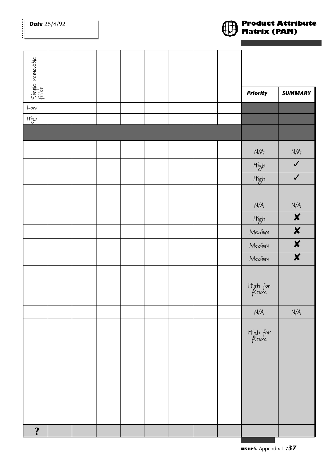......

| Simple removable<br>  filter                                                         |  |  |  |  |                    |                         |
|--------------------------------------------------------------------------------------|--|--|--|--|--------------------|-------------------------|
|                                                                                      |  |  |  |  |                    |                         |
|                                                                                      |  |  |  |  | <b>Priority</b>    | <b>SUMMARY</b>          |
| Low                                                                                  |  |  |  |  |                    |                         |
| $\mathsf{H}\rule[0.2mm]{0.2mm}{0.2mm}\mathsf{g}\rule[0.2mm]{0.2mm}{0.2mm}\mathsf{h}$ |  |  |  |  |                    |                         |
|                                                                                      |  |  |  |  |                    |                         |
|                                                                                      |  |  |  |  | N/A                | $N/A$                   |
|                                                                                      |  |  |  |  | High               | $\checkmark$            |
|                                                                                      |  |  |  |  | High               | $\checkmark$            |
|                                                                                      |  |  |  |  |                    |                         |
|                                                                                      |  |  |  |  | N/A                | N/A                     |
|                                                                                      |  |  |  |  | High               | $\boldsymbol{x}$        |
|                                                                                      |  |  |  |  | Medium             | $\boldsymbol{x}$        |
|                                                                                      |  |  |  |  | Medium             | $\boldsymbol{x}$        |
|                                                                                      |  |  |  |  | Medium             | $\overline{\mathbf{x}}$ |
|                                                                                      |  |  |  |  | High for<br>future |                         |
|                                                                                      |  |  |  |  | N/A                | N/A                     |
|                                                                                      |  |  |  |  | High for<br>future |                         |
|                                                                                      |  |  |  |  |                    |                         |
|                                                                                      |  |  |  |  |                    |                         |
| $\ddot{\mathbf{?}}$                                                                  |  |  |  |  |                    |                         |

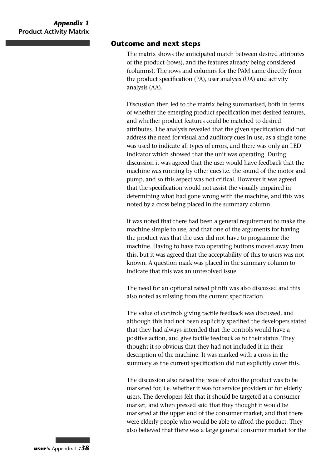#### **Outcome and next steps**

The matrix shows the anticipated match between desired attributes of the product (rows), and the features already being considered (columns). The rows and columns for the PAM came directly from the product specification (PA), user analysis (UA) and activity analysis (AA).

Discussion then led to the matrix being summarised, both in terms of whether the emerging product specification met desired features, and whether product features could be matched to desired attributes. The analysis revealed that the given specification did not address the need for visual and auditory cues in use, as a single tone was used to indicate all types of errors, and there was only an LED indicator which showed that the unit was operating. During discussion it was agreed that the user would have feedback that the machine was running by other cues i.e. the sound of the motor and pump, and so this aspect was not critical. However it was agreed that the specification would not assist the visually impaired in determining what had gone wrong with the machine, and this was noted by a cross being placed in the summary column.

It was noted that there had been a general requirement to make the machine simple to use, and that one of the arguments for having the product was that the user did not have to programme the machine. Having to have two operating buttons moved away from this, but it was agreed that the acceptability of this to users was not known. A question mark was placed in the summary column to indicate that this was an unresolved issue.

The need for an optional raised plinth was also discussed and this also noted as missing from the current specification.

The value of controls giving tactile feedback was discussed, and although this had not been explicitly specified the developers stated that they had always intended that the controls would have a positive action, and give tactile feedback as to their status. They thought it so obvious that they had not included it in their description of the machine. It was marked with a cross in the summary as the current specification did not explicitly cover this.

The discussion also raised the issue of who the product was to be marketed for, i.e. whether it was for service providers or for elderly users. The developers felt that it should be targeted at a consumer market, and when pressed said that they thought it would be marketed at the upper end of the consumer market, and that there were elderly people who would be able to afford the product. They also believed that there was a large general consumer market for the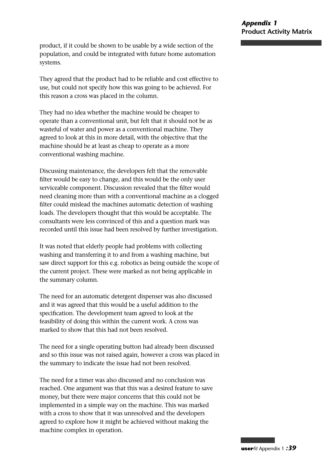product, if it could be shown to be usable by a wide section of the population, and could be integrated with future home automation systems.

They agreed that the product had to be reliable and cost effective to use, but could not specify how this was going to be achieved. For this reason a cross was placed in the column.

They had no idea whether the machine would be cheaper to operate than a conventional unit, but felt that it should not be as wasteful of water and power as a conventional machine. They agreed to look at this in more detail, with the objective that the machine should be at least as cheap to operate as a more conventional washing machine.

Discussing maintenance, the developers felt that the removable filter would be easy to change, and this would be the only user serviceable component. Discussion revealed that the filter would need cleaning more than with a conventional machine as a clogged filter could mislead the machines automatic detection of washing loads. The developers thought that this would be acceptable. The consultants were less convinced of this and a question mark was recorded until this issue had been resolved by further investigation.

It was noted that elderly people had problems with collecting washing and transferring it to and from a washing machine, but saw direct support for this e.g. robotics as being outside the scope of the current project. These were marked as not being applicable in the summary column.

The need for an automatic detergent dispenser was also discussed and it was agreed that this would be a useful addition to the specification. The development team agreed to look at the feasibility of doing this within the current work. A cross was marked to show that this had not been resolved.

The need for a single operating button had already been discussed and so this issue was not raised again, however a cross was placed in the summary to indicate the issue had not been resolved.

The need for a timer was also discussed and no conclusion was reached. One argument was that this was a desired feature to save money, but there were major concerns that this could not be implemented in a simple way on the machine. This was marked with a cross to show that it was unresolved and the developers agreed to explore how it might be achieved without making the machine complex in operation.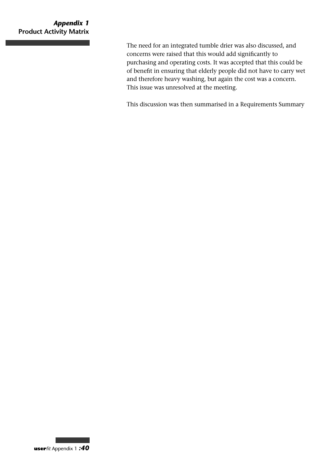### *Appendix 1* **Product Activity Matrix**

The need for an integrated tumble drier was also discussed, and concerns were raised that this would add significantly to purchasing and operating costs. It was accepted that this could be of benefit in ensuring that elderly people did not have to carry wet and therefore heavy washing, but again the cost was a concern. This issue was unresolved at the meeting.

This discussion was then summarised in a Requirements Summary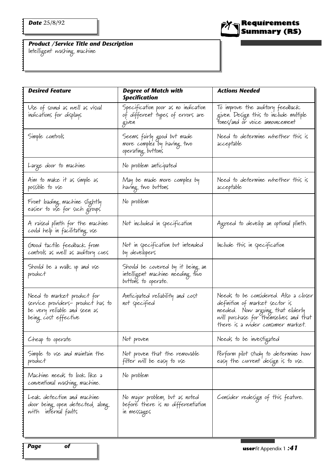Intelligent washing machine

| <b>Desired Feature</b>                                                                                                  | <b>Degree of Match with</b><br><b>Specification</b>                                        | <b>Actions Needed</b>                                                                                                                                                                     |
|-------------------------------------------------------------------------------------------------------------------------|--------------------------------------------------------------------------------------------|-------------------------------------------------------------------------------------------------------------------------------------------------------------------------------------------|
| Use of sovnd as well as visual<br>indications for displays                                                              | Specification poor as no indication<br>of different types of errors are<br>given           | To improve the avalitory feedback<br>given. Design this to include multiple<br>Fones/and or voice announcement                                                                            |
| Simple controls                                                                                                         | Seems fairly good but made<br>more complex by having two<br>operating buttons              | Need to determine whether this is<br>acceptable                                                                                                                                           |
| Large door to machine                                                                                                   | No problem anticipated                                                                     |                                                                                                                                                                                           |
| Aim to make it as simple as<br>possible to vse                                                                          | May be made more complex by<br>having two buttons                                          | Need to determine whether this is<br>acceptable                                                                                                                                           |
| Front loading machine slightly<br>easier to use for such groups                                                         | No problem                                                                                 |                                                                                                                                                                                           |
| A raised plinth for the machine<br>could help in facilitating use                                                       | Not included in specification                                                              | Agreed to develop an optional plinth.                                                                                                                                                     |
| Glood tactile feedback from<br>controls as well as avditory cues                                                        | Not in specification but intended<br>by developers                                         | Include this in specification                                                                                                                                                             |
| Shovld be a walk up and use<br>product                                                                                  | Should be covered by it being an<br>intelligent machine needing two<br>buttons to operate. |                                                                                                                                                                                           |
| Need to market product for<br>service providers- product has to<br>be very reliable and seen as<br>being cost effective | Anticipated reliability and cost<br>not specified                                          | Needs to be considered. Also a closer<br>definition of market sector is<br>needed. Now arguing that elderly<br>will purchase for themselves and that<br>there is a wider consumer market. |
| Cheap to operate                                                                                                        | Not proven                                                                                 | Needs to be investigated                                                                                                                                                                  |
| Simple to use and maintain the<br>product                                                                               | Not proven that the removable<br>filter will be easy to use                                | Perform pilot stvdy to determine how<br>easy the current design is to use.                                                                                                                |
| Machine needs to look like a<br>conventional washing machine.                                                           | No problem                                                                                 |                                                                                                                                                                                           |
| Leak detection and machine<br>door being open detected, along.<br>with internal faults                                  | No major problem, but as noted<br>before there is no differentiation<br>in messages        | Consider redesign of this feature.                                                                                                                                                        |
|                                                                                                                         |                                                                                            |                                                                                                                                                                                           |

 $\mathbf{i}$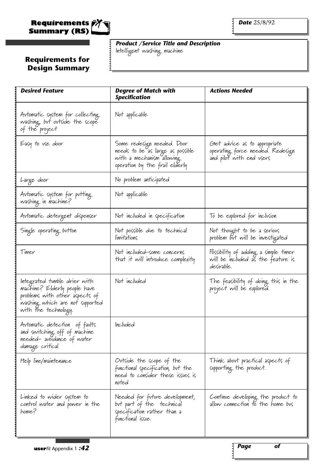

*Product /Service Title and Description* Intelligent washing machine

# **Requirements for Design Summary**

| <b>Desired Feature</b>                                                                                                                                    | <b>Degree of Match with</b><br><b>Specification</b>                                                                           | <b>Actions Needed</b>                                                                        |
|-----------------------------------------------------------------------------------------------------------------------------------------------------------|-------------------------------------------------------------------------------------------------------------------------------|----------------------------------------------------------------------------------------------|
| Avtomatic system for collecting.<br>washing, but outside the scope<br>of the project                                                                      | Not applicable                                                                                                                |                                                                                              |
| Easy to use door                                                                                                                                          | Some redesign needed. Door<br>needs to be as large as possible<br>with a mechanism allowing<br>operation by the frail elderly | Get advice as to appropriate<br>operating force needed. Redesign<br>and pilot with end users |
| Large door                                                                                                                                                | No problem anticipated                                                                                                        |                                                                                              |
| Automatic system for putting<br>washing in machine?                                                                                                       | Not applicable                                                                                                                |                                                                                              |
| Avtomatic detergent dispenser                                                                                                                             | Not included in specification                                                                                                 | To be explored for inclusion                                                                 |
| Single operating button                                                                                                                                   | Not possible due to technical<br>límítations                                                                                  | Not thought to be a serious<br>problem but will be investigated                              |
| Timer                                                                                                                                                     | Not included-some concerns<br>that it will introduce complexity                                                               | Possibility of adding a simple timer<br>will be included as the feature is<br>desirable.     |
| Integrated tumble drier with<br>machine? Elderly people have<br>problems with other aspects of<br>washing which are not supported<br>with the technology. | Not included                                                                                                                  | The feasibility of doing this in the<br>project will be explored.                            |
| Automatic detection of faults<br>and switching off of machine<br>needed-avoidance of water<br>damage critical                                             | Included                                                                                                                      |                                                                                              |
| Help l'ine/maintenance                                                                                                                                    | Ovtside the scope of the<br>functional specification, but the<br>need to consider these issues is<br>noted                    | Think about practical aspects of<br>supporting the product.                                  |
| Linked to wider system to<br>control water and power in the<br>home?                                                                                      | Needed for future development,<br>but part of the technical<br>specification rather than a<br>functional issue.               | Continue developing the product to<br>allow connection to the home bus                       |
|                                                                                                                                                           |                                                                                                                               |                                                                                              |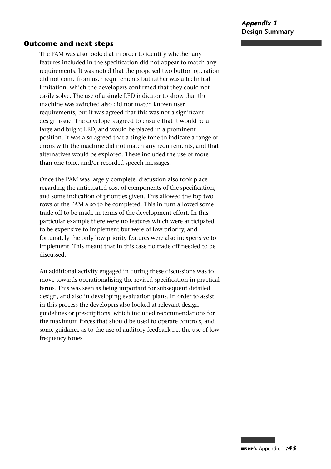*Appendix 1* **Design Summary**

#### **Outcome and next steps**

The PAM was also looked at in order to identify whether any features included in the specification did not appear to match any requirements. It was noted that the proposed two button operation did not come from user requirements but rather was a technical limitation, which the developers confirmed that they could not easily solve. The use of a single LED indicator to show that the machine was switched also did not match known user requirements, but it was agreed that this was not a significant design issue. The developers agreed to ensure that it would be a large and bright LED, and would be placed in a prominent position. It was also agreed that a single tone to indicate a range of errors with the machine did not match any requirements, and that alternatives would be explored. These included the use of more than one tone, and/or recorded speech messages.

Once the PAM was largely complete, discussion also took place regarding the anticipated cost of components of the specification, and some indication of priorities given. This allowed the top two rows of the PAM also to be completed. This in turn allowed some trade off to be made in terms of the development effort. In this particular example there were no features which were anticipated to be expensive to implement but were of low priority, and fortunately the only low priority features were also inexpensive to implement. This meant that in this case no trade off needed to be discussed.

An additional activity engaged in during these discussions was to move towards operationalising the revised specification in practical terms. This was seen as being important for subsequent detailed design, and also in developing evaluation plans. In order to assist in this process the developers also looked at relevant design guidelines or prescriptions, which included recommendations for the maximum forces that should be used to operate controls, and some guidance as to the use of auditory feedback i.e. the use of low frequency tones.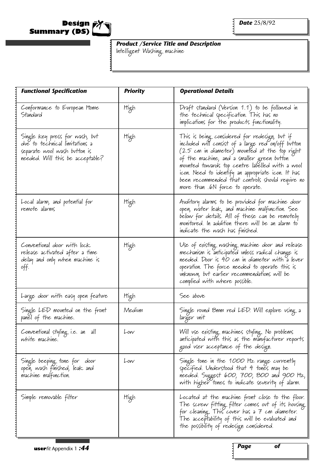

Intelligent Washing machine

| <b>Functional Specification</b>                                                                                                      | <b>Priority</b> | <b>Operational Details</b>                                                                                                                                                                                                                                                                                                                                                                                    |
|--------------------------------------------------------------------------------------------------------------------------------------|-----------------|---------------------------------------------------------------------------------------------------------------------------------------------------------------------------------------------------------------------------------------------------------------------------------------------------------------------------------------------------------------------------------------------------------------|
| Conformance to European Home<br>Standard                                                                                             | High            | Draft standard (Version 1.1) to be followed in<br>the technical specification. This has no<br>implications for the products functionality.                                                                                                                                                                                                                                                                    |
| Single key press for wash, but<br>due to technical limitations a<br>separate wool wash button is<br>needed. Will this be acceptable? | High            | This is being considered for redesign, but if<br>included will consist of a large red on/off button<br>$(2.5 \text{ cm in diameter})$ movnted at the top right<br>of the machine, and a smaller green button<br>movnted towards top centre labelled with a wool<br>'icon. Need to identify an appropriate icon. It has<br>been recommended that controls should require no<br>more than .6N force to operate. |
| Local alarm, and potential for<br>remote alarms                                                                                      | High            | Avalitory alarms to be provided for machine door<br>open, water leak, and machine malfunction. See<br>below for details. All of these can be remotely<br>monitored. In addition there will be an alarm to<br>indicate the wash has finished.                                                                                                                                                                  |
| Conventional door with lock<br>release activated after a time<br>delay and only when machine is<br>off.                              | High            | Use of existing washing machine door and release<br>mechanism is anticipated unless radical change is<br>needed. Door is 40 cm in diameter with a lever<br>operation. The force needed to operate this is<br>vnknown, but earlier recommendations will be<br>complied with where possible.                                                                                                                    |
| Large door with easy open feature                                                                                                    | High            | See above                                                                                                                                                                                                                                                                                                                                                                                                     |
| Single LED mounted on the front<br>panel of the machine.                                                                             | Medium          | Single round 8mm red LED. Will explore using a<br>larger unit                                                                                                                                                                                                                                                                                                                                                 |
| Conventional styling i.e. an all<br>white machine.                                                                                   | Low             | Will use existing machines styling. No problems<br>anticipated with this as the manufacturer reports<br>good user acceptance of the design.                                                                                                                                                                                                                                                                   |
| Single beeping tone for door<br>open, wash finished, leak and<br>machine malfunction.                                                | Low             | Single tone in the 1 <i>000</i> Hz range currently<br>specified. Understood that 4 tones may be<br>needed. Suggest 600, 700, 800 and 900 Hz,<br>with higher tones to indicate severity of alarm.                                                                                                                                                                                                              |
| Simple removable filter                                                                                                              | High            | Located at the machine front close to the floor.<br>The screw fitting filter comes out of its housing<br>for cleaning. This cover has a $7$ cm diameter.<br>The acceptability of this will be evaluated and<br>the possibility of redesign considered.                                                                                                                                                        |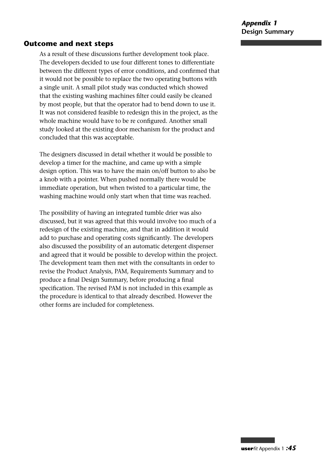#### **Outcome and next steps**

As a result of these discussions further development took place. The developers decided to use four different tones to differentiate between the different types of error conditions, and confirmed that it would not be possible to replace the two operating buttons with a single unit. A small pilot study was conducted which showed that the existing washing machines filter could easily be cleaned by most people, but that the operator had to bend down to use it. It was not considered feasible to redesign this in the project, as the whole machine would have to be re configured. Another small study looked at the existing door mechanism for the product and concluded that this was acceptable.

The designers discussed in detail whether it would be possible to develop a timer for the machine, and came up with a simple design option. This was to have the main on/off button to also be a knob with a pointer. When pushed normally there would be immediate operation, but when twisted to a particular time, the washing machine would only start when that time was reached.

The possibility of having an integrated tumble drier was also discussed, but it was agreed that this would involve too much of a redesign of the existing machine, and that in addition it would add to purchase and operating costs significantly. The developers also discussed the possibility of an automatic detergent dispenser and agreed that it would be possible to develop within the project. The development team then met with the consultants in order to revise the Product Analysis, PAM, Requirements Summary and to produce a final Design Summary, before producing a final specification. The revised PAM is not included in this example as the procedure is identical to that already described. However the other forms are included for completeness.

**user***fit* Appendix 1 *:45*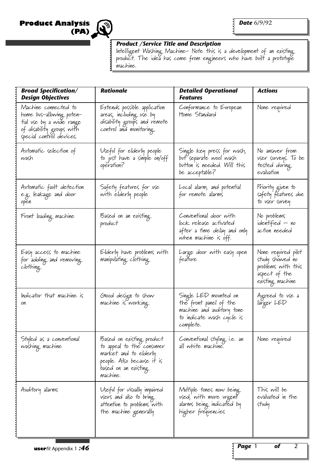**Product Analysis (PA)**



#### *Product /Service Title and Description*

Intelligent Washing Machine- Note this is a development of an existing product. The idea has come from engineers who have built a prototype machine.

| <b>Broad Specification/</b><br><b>Design Objectives</b>                                                                               | <b>Rationale</b>                                                                                                                                  | <b>Detailed Operational</b><br>Features                                                                                | <b>Actions</b>                                                                                    |
|---------------------------------------------------------------------------------------------------------------------------------------|---------------------------------------------------------------------------------------------------------------------------------------------------|------------------------------------------------------------------------------------------------------------------------|---------------------------------------------------------------------------------------------------|
| Machine connected to<br>home bus-allowing poten-<br>tial vse by a wide range<br>of disability groups with<br>special control devices. | Extends possible application<br>areas, including use by<br>disability groups and remote<br>control and monitoring.                                | Conformance to European<br>Home Standard                                                                               | None required                                                                                     |
| Avtomatic selection of<br>wash                                                                                                        | Useful for elderly people<br>to just have a simple on/off<br>operation?                                                                           | Single key press for wash,<br>but separate wool wash<br>button is needed. Will this<br>be acceptable?                  | No answer from<br>vser svrveys. To be<br>tested during<br>evaluation                              |
| Avtomatic favlt detection<br>e.g. leakage and door<br>open                                                                            | Safety featvres for vse<br>with elderly people                                                                                                    | Local alarm, and potential<br>for remote alarms                                                                        | Priority given to<br>safety featvres due<br>to user survey                                        |
| Front loading machine                                                                                                                 | Based on an existing<br>product                                                                                                                   | Conventional door with<br>lock release activated<br>after a time delay and only<br>when machine is off.                | No problems<br>identified — no<br>action needed                                                   |
| Easy access to machine<br>for adding and removing<br>clothing                                                                         | Elderly have problems with<br>manipulating clothing                                                                                               | Large door with easy open<br>feature                                                                                   | None required pilot<br>stvdy showed no<br>problems with this<br>aspect of the<br>existing machine |
| Indicator that machine is<br>on                                                                                                       | Glood design to show<br>machine is working                                                                                                        | Single LED mounted on<br>the front panel of the<br>machine and avditory tone<br>to indicate wash cycle is<br>complete. | Agreed to use a<br>larger LED                                                                     |
| Styled as a conventional<br>washing machine                                                                                           | Based on existing product<br>to appeal to the consumer<br>market and to elderly<br>people. Also becavse it is<br>based on an existing<br>machine. | Conventional styling i.e. an<br>all white machine.                                                                     | None required                                                                                     |
| Avditory alarms                                                                                                                       | Useful for visually impaired<br>users and also to bring<br>attention to problems with<br>the machine generally                                    | Multiple tones now being<br>used, with more urgent<br>alarms being indicated by<br>higher frequencies                  | This will be<br>evaluated in the<br>study                                                         |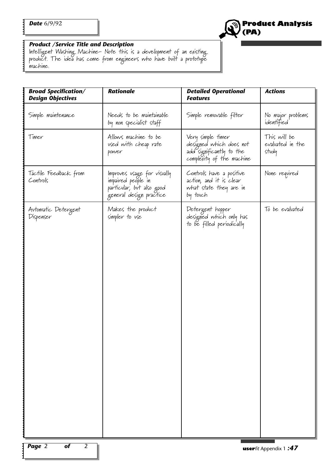

Intelligent Washing Machine- Note this is a development of an existing product. The idea has come from engineers who have built a prototype machine.

| <b>Broad Specification/</b><br><b>Design Objectives</b> | <b>Rationale</b>                                                                                          | <b>Detailed Operational</b><br><b>Features</b>                                                        | <b>Actions</b>                            |
|---------------------------------------------------------|-----------------------------------------------------------------------------------------------------------|-------------------------------------------------------------------------------------------------------|-------------------------------------------|
| Simple maintenance                                      | Needs to be maintainable<br>by non specialist staff                                                       | Simple removable filter                                                                               | No major problems<br>identified           |
| Timer                                                   | Allows machine to be<br>used with cheap rate<br>power                                                     | Very simple timer<br>designed which does not<br>add significantly to the<br>complexity of the machine | This will be<br>evaluated in the<br>study |
| Tactile Feedback from<br>Controls                       | Improves usage for visually<br>impaired people in<br>particular, but also good<br>general design practice | Controls have a positive<br>action, and it is clear<br>what state they are in<br>by touch             | None required                             |
| Automatic Detergent<br>Dispenser                        | Makes the product<br>simpler to use                                                                       | Detergent hopper<br>designed which only has<br>to be filled periodically                              | To be evaluated                           |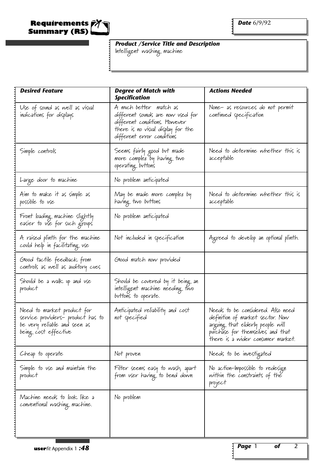

Intelligent washing machine

| <b>Desired Feature</b>                                                                                                  | <b>Degree of Match with</b><br><b>Specification</b>                                                                                                               | <b>Actions Needed</b>                                                                                                                                                              |
|-------------------------------------------------------------------------------------------------------------------------|-------------------------------------------------------------------------------------------------------------------------------------------------------------------|------------------------------------------------------------------------------------------------------------------------------------------------------------------------------------|
| Use of sovnd as well as visual<br>indications for displays                                                              | A much better match as<br>different sovnds are now vsed for<br>different conditions. Itowever<br>there is no visual display for the<br>different error conditions | None- as resources do not permit<br>continued specification                                                                                                                        |
| Simple controls                                                                                                         | Seems fairly good but made<br>more complex by having two<br>operating button's                                                                                    | Need to determine whether this is<br>acceptable                                                                                                                                    |
| Large door to machine                                                                                                   | No problem anticipated                                                                                                                                            |                                                                                                                                                                                    |
| Aim to make it as simple as<br>possible to vse                                                                          | May be made more complex by<br>having two buttons                                                                                                                 | Need to determine whether this is<br>acceptable                                                                                                                                    |
| Front loading machine slightly<br>easier to use for such groups                                                         | No problem anticipated                                                                                                                                            |                                                                                                                                                                                    |
| A raised plinth for the machine<br>could help in facilitating use                                                       | Not included in specification                                                                                                                                     | Agreed to develop an optional plinth.                                                                                                                                              |
| Glood tactile feedback from<br>controls as well as avditory cues                                                        | Glood match now provided                                                                                                                                          |                                                                                                                                                                                    |
| Shovld be a walk up and use<br>product                                                                                  | Should be covered by it being an<br>intelligent machine needing two<br>buttons to operate.                                                                        |                                                                                                                                                                                    |
| Need to market product for<br>service providers- product has to<br>be very reliable and seen as<br>being cost effective | Anticipated reliability and cost<br>not specified                                                                                                                 | Needs to be considered. Also need<br>definition of market sector. Now<br>arguing that elderly people will<br>purchase for themselves and that<br>there is a wider consumer market. |
| Cheap to operate                                                                                                        | Not proven                                                                                                                                                        | Needs to be investigated                                                                                                                                                           |
| Simple to use and maintain the<br>product                                                                               | Filter seems easy to wash, apart<br>from user having to bend down                                                                                                 | No action-Impossible to redesign<br>within the constraints of the<br>project                                                                                                       |
| Machine needs to look like a<br>conventional washing machine.                                                           | No problem                                                                                                                                                        |                                                                                                                                                                                    |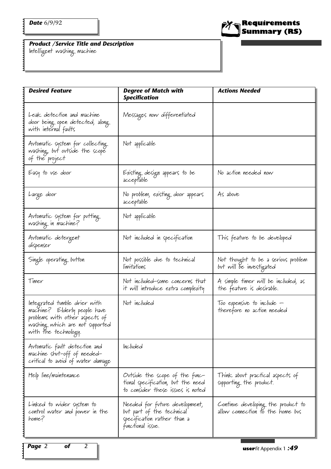

*Product /Service Title and Description* Intelligent washing machine

| <b>Desired Feature</b>                                                                                                                                          | <b>Degree of Match with</b><br><b>Specification</b>                                                             | <b>Actions Needed</b>                                                  |
|-----------------------------------------------------------------------------------------------------------------------------------------------------------------|-----------------------------------------------------------------------------------------------------------------|------------------------------------------------------------------------|
| Leak detection and machine<br>door being open detected, along.<br>with internal faults                                                                          | Messages now differentiated                                                                                     |                                                                        |
| Automatic system for collecting.<br>washing, but outside the scope<br>of the project                                                                            | Not applicable                                                                                                  |                                                                        |
| Easy to use door                                                                                                                                                | Existing design appears to be<br>acceptable                                                                     | No action needed now                                                   |
| Large door                                                                                                                                                      | No problem, existing door appears<br>acceptable                                                                 | As above                                                               |
| Automatic system for putting<br>washing in machine?                                                                                                             | Not applicable                                                                                                  |                                                                        |
| Avtomatic detergent<br>dispenser                                                                                                                                | Not included in specification                                                                                   | This feature to be developed                                           |
| Single operating button                                                                                                                                         | Not possible due to technical<br>límitations                                                                    | Not thought to be a serious problem<br>but will be investigated        |
| Timer                                                                                                                                                           | Not included-some concerns that<br>it will introduce extra complexity                                           | A simple timer will be included, as<br>the feature is desirable.       |
| Integrated tumble drier with<br>machine? Elderly people have<br>problems with other aspects of<br>washing which are not supported<br>with the technology.<br>ΟI | Not included                                                                                                    | Too expensive to include -<br>therefore no action needed               |
| Automatic fault detection and<br>machine shut-off of needed-<br>critical to avoid of water damage                                                               | Included                                                                                                        |                                                                        |
| Help l'ine/maintenance                                                                                                                                          | Ovtside the scope of the func-<br>tional specification, but the need<br>to consider these issues is noted       | Think about practical aspects of<br>supporting the product.            |
| Linked to wider system to<br>control water and power in the<br>home?                                                                                            | Needed for future development,<br>but part of the technical<br>specification rather than a<br>functional issue. | Continue developing the product to<br>allow connection to the home bus |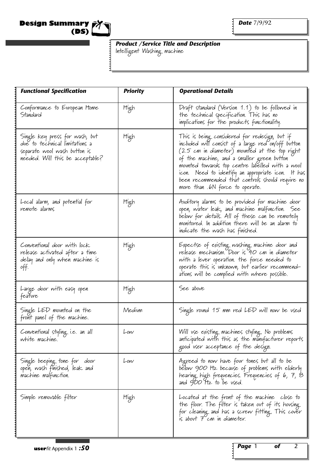

Intelligent Washing machine

| <b>Functional Specification</b>                                                                                                      | <b>Priority</b> | <b>Operational Details</b>                                                                                                                                                                                                                                                                                                                                                                          |
|--------------------------------------------------------------------------------------------------------------------------------------|-----------------|-----------------------------------------------------------------------------------------------------------------------------------------------------------------------------------------------------------------------------------------------------------------------------------------------------------------------------------------------------------------------------------------------------|
| Conformance to European Home<br>Standard                                                                                             | High            | Draft standard (Version 1.1) to be followed in<br>the technical specification. This has no<br>implications for the products functionality.                                                                                                                                                                                                                                                          |
| Single key press for wash, but<br>dve to technical limitations a<br>separate wool wash button is<br>needed. Will this be acceptable? | High            | This is being considered for redesign, but if<br>included will consist of a large red on/off button<br>(2.5 cm in diameter) mounted at the top right<br>of the machine, and a smaller green button<br>movnted towards top centre labelled with a wool<br>'icon. Need to identify an appropriate icon. It has<br>been recommended that controls should require no<br>more than .6N force to operate. |
| Local alarm, and potential for<br>remote alarms                                                                                      | High            | Avalitory alarms to be provided for machine door<br>open, water leak, and machine malfunction. See<br>below for details. All of these can be remotely<br>monitored. In addition there will be an alarm to<br>indicate the wash has finished.                                                                                                                                                        |
| Conventional door with lock<br>release activated after a time<br>delay and only when machine is<br>off.                              | High            | Expectse of existing washing machine door and<br>release mechanism. Door is 40 cm in diameter<br>with a lever operation. the force needed to<br>operate this is vnknown, but earlier recommend-<br>ations will be complied with where possible.                                                                                                                                                     |
| Large door with easy open<br>feature                                                                                                 | High            | See above                                                                                                                                                                                                                                                                                                                                                                                           |
| Single LED mounted on the<br>front panel of the machine.                                                                             | Medium          | Single round 15 mm red LED will now be used                                                                                                                                                                                                                                                                                                                                                         |
| Conventional styling i.e. an all<br>white machine.                                                                                   | Low             | Will use existing machines styling. No problems<br>anticipated with this as the manufacturer reports<br>good vser acceptance of the design.                                                                                                                                                                                                                                                         |
| Single beeping tone for cloor<br>open, wash finished, leak and<br>machine malfunction.                                               | Low             | Agreed to now have four tones but all to be<br>below 900 Hz becavse of problems with elderly<br>hearing high frequencies. Frequencies of 6, 7, 8<br>and 900 Hz to be used.                                                                                                                                                                                                                          |
| Simple removable filter                                                                                                              | High            | Located at the front of the machine close to<br>the floor. The filter is taken out of its housing<br>for cleaning and has a screw fitting. This cover<br>is about 7 cm in diameter.                                                                                                                                                                                                                 |

1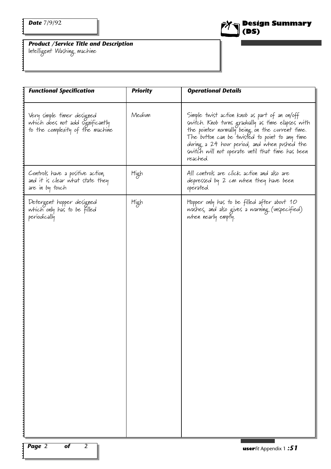

*Product /Service Title and Description* Intelligent Washing machine

| <b>Functional Specification</b>                                                                    | <b>Priority</b> | <b>Operational Details</b>                                                                                                                                                                                                                                                                                              |
|----------------------------------------------------------------------------------------------------|-----------------|-------------------------------------------------------------------------------------------------------------------------------------------------------------------------------------------------------------------------------------------------------------------------------------------------------------------------|
| Very simple timer designed<br>which does not add significantly<br>to the complexity of the machine | Medium          | Simple twist action knob as part of an on/off<br>switch. Knob turns gradually as time elapses with<br>the pointer normally being on the current time.<br>The button can be twisted to point to any time<br>during a 24 hour period, and when pushed the<br>switch will not operate until that time has been<br>reached. |
| Controls have a positive action,<br>and it is clear what state they<br>are in by touch             | High            | All controls are click action and also are<br>depressed by 2 cm when they have been<br>operated.                                                                                                                                                                                                                        |
| Detergent hopper designed<br>which only has to be filled<br>periodically                           | High            | Hopper only has to be filled after about 10<br>washes, and also gives a warning (unspecified)<br>when nearly empty.                                                                                                                                                                                                     |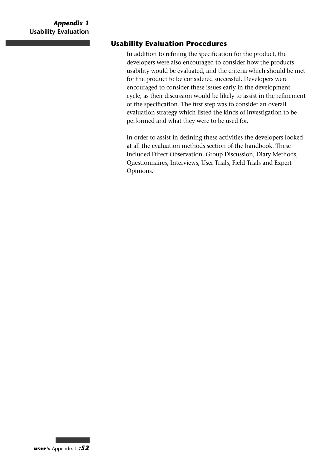# **Usability Evaluation Procedures**

In addition to refining the specification for the product, the developers were also encouraged to consider how the products usability would be evaluated, and the criteria which should be met for the product to be considered successful. Developers were encouraged to consider these issues early in the development cycle, as their discussion would be likely to assist in the refinement of the specification. The first step was to consider an overall evaluation strategy which listed the kinds of investigation to be performed and what they were to be used for.

In order to assist in defining these activities the developers looked at all the evaluation methods section of the handbook. These included Direct Observation, Group Discussion, Diary Methods, Questionnaires, Interviews, User Trials, Field Trials and Expert Opinions.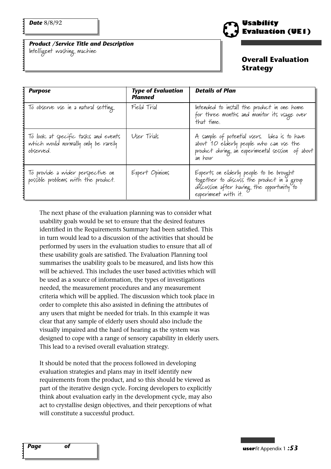*Product /Service Title and Description* Intelligent washing machine



#### **Overall Evaluation Strategy**

| <b>Purpose</b>                                                                           | <b>Type of Evaluation</b><br><b>Planned</b> | <b>Details of Plan</b>                                                                                                                                     |
|------------------------------------------------------------------------------------------|---------------------------------------------|------------------------------------------------------------------------------------------------------------------------------------------------------------|
| To observe use in a natural setting                                                      | Field Trial                                 | Intended to install the product in one home<br>for three months and monitor its usage over<br>that time.                                                   |
| To look at specific tasks and events<br>which would normally only be rarely<br>observed. | User Trials                                 | A sample of potential users. Idea is to have<br>about '10 elderly people who can use the<br>product during an experimental session of about<br>an hour     |
| To provide a wider perspective on<br>possible problems with the product.                 | Expert Opinions                             | Experts on elderly people to be brought<br>together to discuss the product in a group<br>discussion after having the opportunity to<br>experiment with it. |

The next phase of the evaluation planning was to consider what usability goals would be set to ensure that the desired features identified in the Requirements Summary had been satisfied. This in turn would lead to a discussion of the activities that should be performed by users in the evaluation studies to ensure that all of these usability goals are satisfied. The Evaluation Planning tool summarises the usability goals to be measured, and lists how this will be achieved. This includes the user based activities which will be used as a source of information, the types of investigations needed, the measurement procedures and any measurement criteria which will be applied. The discussion which took place in order to complete this also assisted in defining the attributes of any users that might be needed for trials. In this example it was clear that any sample of elderly users should also include the visually impaired and the hard of hearing as the system was designed to cope with a range of sensory capability in elderly users. This lead to a revised overall evaluation strategy.

It should be noted that the process followed in developing evaluation strategies and plans may in itself identify new requirements from the product, and so this should be viewed as part of the iterative design cycle. Forcing developers to explicitly think about evaluation early in the development cycle, may also act to crystallise design objectives, and their perceptions of what will constitute a successful product.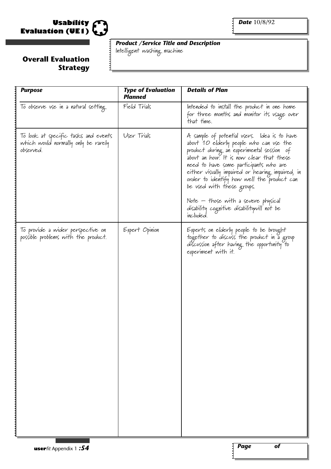

### **Overall Evaluation Strategy**

*Product /Service Title and Description*

Intelligent washing machine

| <b>Purpose</b>                                                                           | <b>Type of Evaluation</b><br><b>Planned</b> | <b>Details of Plan</b>                                                                                                                                                                                                                                                                                                                                                                                                                                        |
|------------------------------------------------------------------------------------------|---------------------------------------------|---------------------------------------------------------------------------------------------------------------------------------------------------------------------------------------------------------------------------------------------------------------------------------------------------------------------------------------------------------------------------------------------------------------------------------------------------------------|
| To observe use in a natural setting                                                      | Field Trials                                | Intended to install the product in one home<br>for three months and monitor its usage over<br>that time.                                                                                                                                                                                                                                                                                                                                                      |
| To look at specific tasks and events<br>which would normally only be rarely<br>observed. | User Trials                                 | A sample of potential vsers. Idea is to have<br>about 10 elderly people who can use the<br>product during an experimental session of<br>about an hour. It is now clear that these<br>need to have some participants who are<br>either visually impaired or hearing impaired, in<br>order to identify how well the product can<br>be used with these groups.<br>Note – those with a severe physical<br>disability cognitive disabilitywill not be<br>included. |
| To provide a wider perspective on<br>possible problems with the product.                 | Expert Opinion                              | Experts on elderly people to be brought<br>together to discuss the product in a group<br>discussion after having the opportunity to<br>experiment with it.                                                                                                                                                                                                                                                                                                    |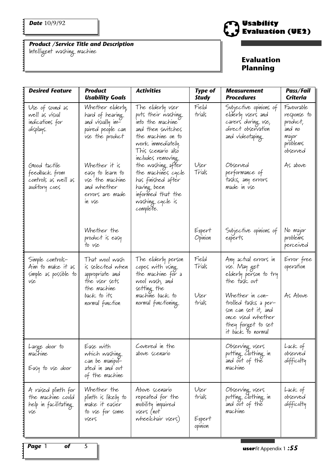Intelligent washing machine



| <b>Desired Feature</b>                                                   | <b>Product</b><br><b>Usability Goals</b>                                                                                | <b>Activities</b>                                                                                                                                                     | <b>Type of</b><br><b>Study</b>      | <b>Measurement</b><br><b>Procedures</b>                                                                                  | Pass/Fail<br><b>Criteria</b>                                                     |
|--------------------------------------------------------------------------|-------------------------------------------------------------------------------------------------------------------------|-----------------------------------------------------------------------------------------------------------------------------------------------------------------------|-------------------------------------|--------------------------------------------------------------------------------------------------------------------------|----------------------------------------------------------------------------------|
| Use of sound as<br>well as visual<br>indications for<br>displays.        | Whether elderly,<br>hard of hearing<br>and visually im-<br>paired people can<br>use the product                         | The elderly vser<br>puts their washing.<br>into the machine<br>and then switches<br>the machine on to<br>work immediately.<br>This scenario also<br>includes removing | Field<br>trials                     | Subjective opinions of<br>elderly users and<br>carers during use,<br>direct observation<br>and videotaping               | Favourable<br>response to<br>product,<br>and no<br>major<br>problems<br>observed |
| Good tactile<br>feedback from<br>controls as well as<br>avditory cues    | Whether it is<br>easy to learn to<br>use the machine<br>and whether<br>errors are made<br>in use                        | the washing after<br>the machines cycle<br>has finished after<br>having been<br>informed that the<br>washing cycle is<br>complete.                                    | User<br>Trials                      | Observed<br>performance of<br>tasks, any errors<br>made in vse                                                           | As above                                                                         |
|                                                                          | Whether the<br>product is easy<br>to vse                                                                                |                                                                                                                                                                       | Expert<br>Opinion                   | Subjective opinions of<br>experts                                                                                        | No major<br>problems<br>perceived                                                |
| Simple controls-<br>Aim to make it as<br>simple as possible to<br>vse    | That wool wash<br>is selected when<br>appropriate and<br>the vser sets<br>the machine<br>back to its<br>normal function | The elderly person<br>copes with using<br>the machine for a<br>wool wash, and<br>setting the<br>machine back to<br>normal functioning                                 | Field<br>Trials<br>User<br>trials   | Any actual errors in<br>use. May get<br>elderly person to try<br>the task out<br>Whether in con-<br>trolled tasks a per- | Error free<br>operation<br>As Above                                              |
|                                                                          |                                                                                                                         |                                                                                                                                                                       |                                     | son can set it, and<br>once used whether<br>they forget to set<br>it back to normal                                      |                                                                                  |
| Large door to<br>machine<br>Easy to use door                             | Ease with<br>which washing<br>can be manipul-<br>ated in and ovt<br>of the machine                                      | Covered in the<br>above scenario                                                                                                                                      |                                     | Observing users<br>putting clothing in<br>and out of the<br>machine                                                      | Lack of<br>observed<br>difficulty                                                |
| A raised plinth for<br>the machine could<br>help in facilitating.<br>vse | Whether the<br>plinth is likely to<br>make it easier<br>to vse for some<br>vsers                                        | Above scenario<br>repeated for the<br>mobility impaired<br>vsers (not<br>wheelchair users)                                                                            | User<br>trials<br>Expert<br>opinion | Observing users<br>putting Clothing in<br>and out of the<br>machine                                                      | Lack of<br>observed<br>difficulty                                                |
|                                                                          |                                                                                                                         |                                                                                                                                                                       |                                     |                                                                                                                          |                                                                                  |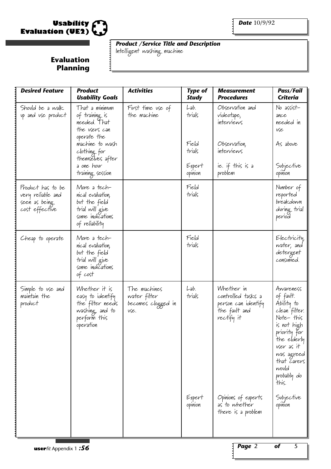

**Evaluation Planning** Intelligent washing machine

| <b>Desired Feature</b>                                                    | <b>Product</b><br><b>Usability Goals</b>                                                                                                                                  | <b>Activities</b>                                          | <b>Type of</b><br><b>Study</b>                         | <b>Measurement</b><br><b>Procedures</b>                                                                  | Pass/Fail<br><b>Criteria</b>                                                                                                                                                                 |
|---------------------------------------------------------------------------|---------------------------------------------------------------------------------------------------------------------------------------------------------------------------|------------------------------------------------------------|--------------------------------------------------------|----------------------------------------------------------------------------------------------------------|----------------------------------------------------------------------------------------------------------------------------------------------------------------------------------------------|
| Should be a walk<br>up and use product                                    | That a minimum<br>of training is<br>needed. That<br>the users can<br>operate the<br>machine to wash<br>clothing for<br>themselves after<br>a one hovr<br>training session | First time use of<br>the machine                           | Lab.<br>trials<br>Field<br>trials<br>Expert<br>opinion | Observation and<br>videotape,<br>interviews<br>Observation,<br>interviews<br>ie. if this is a<br>problem | No assist-<br>ance<br>needed in<br>vse<br>As above<br>Subjective<br>opinion                                                                                                                  |
| Product has to be<br>very reliable and<br>seen as being<br>cost effective | More a tech-<br>nical evaluation,<br>but the field<br>trial will give<br>some indications<br>of reliability                                                               |                                                            | Field<br>trials                                        |                                                                                                          | Number of<br>reported<br>breakdown<br>during trial<br>period                                                                                                                                 |
| Cheap to operate                                                          | More a tech-<br>nical evaluation,<br>but the field<br>trial will give<br>some indications<br>of cost                                                                      |                                                            | Field<br>trials                                        |                                                                                                          | Electricity,<br>water, and<br>detergent<br>consumed.                                                                                                                                         |
| Simple to use and<br>maintain the<br>product                              | Whether it is<br>easy to identify<br>the filter needs<br>washing, and to<br>perform this<br>operation                                                                     | The machines<br>water filter<br>becomes clogged in<br>vse. | Lab.<br>trials                                         | Whether in<br>controlled tasks a<br>person can identify<br>the fault and<br>rectify it                   | Awareness<br>of fault.<br>Ability to<br>clean filter.<br>Note-this<br>is not high<br>priority For<br>the elderly<br>vser as it<br>was agreed<br>that carers<br>would<br>probably do<br>this. |
|                                                                           |                                                                                                                                                                           |                                                            | Expert<br>opinion                                      | Opinions of experts<br>as to whether<br>there is a problem                                               | Subjective<br>opinion                                                                                                                                                                        |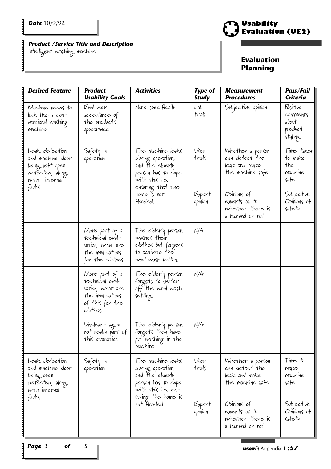Intelligent washing machine



| <b>Desired Feature</b>                                                                         | <b>Product</b><br><b>Usability Goals</b>                                                                | <b>Activities</b>                                                                                                           | <b>Type of</b><br><b>Study</b> | <b>Measurement</b><br><b>Procedures</b>                                 | Pass/Fail<br><b>Criteria</b>                        |
|------------------------------------------------------------------------------------------------|---------------------------------------------------------------------------------------------------------|-----------------------------------------------------------------------------------------------------------------------------|--------------------------------|-------------------------------------------------------------------------|-----------------------------------------------------|
| Machine needs to<br>look like a con-<br>ventional washing<br>machine.                          | End user<br>acceptance of<br>the products<br>appearance                                                 | None specifically                                                                                                           | Lab.<br>trials                 | Subjective opinion                                                      | Positive<br>comments<br>about<br>product<br>styling |
| Leak detection<br>and machine door<br>being left open<br>detected, along<br>with internal      | Safety in<br>operation                                                                                  | The machine leaks<br>during operation,<br>and the elderly<br>person has to cope<br>with this i.e.                           | User<br>trials                 | Whether a person<br>can detect the<br>leak and make<br>the machine safe | Time taken<br>to make<br>the<br>machine<br>safe     |
| faults                                                                                         |                                                                                                         | ensuring that the<br>home is not<br>flooded.                                                                                | Expert<br>opinion              | Opinions of<br>experts as to<br>whether there is<br>a hazard or not     | Subjective<br>Opinions of<br>safety                 |
|                                                                                                | More part of a<br>technical eval-<br>vation, what are<br>the implications<br>for the clothes            | The elderly person<br>washes their<br>clothes but forgets<br>to activate the<br>wool wash button.                           | N/A                            |                                                                         |                                                     |
|                                                                                                | More part of a<br>technical eval-<br>vation, what are<br>the implications<br>of this for the<br>clothes | The elderly person<br>forgets to switch<br>off the wool wash<br>setting                                                     | N/A                            |                                                                         |                                                     |
|                                                                                                | Unclear- again<br>not really part of<br>this evaluation                                                 | The elderly person<br>forgets they have<br>put washing in the<br>machine.                                                   | N/A                            |                                                                         |                                                     |
| Leak detection<br>and machine door<br>being open<br>detected, along<br>with internal<br>faults | Safety in<br>operation                                                                                  | The machine leaks<br>during operation,<br>and the elderly<br>person has to cope<br>with this i.e. en-<br>suring the home is | User<br>trials                 | Whether a person<br>can detect the<br>leak and make<br>the machine safe | Time to<br>make<br>machine<br>safe                  |
|                                                                                                |                                                                                                         | not flooded.                                                                                                                | Expert<br>opinion              | $Opinions$ of<br>experts as to<br>whether there is<br>a hazard or not   | Subjective<br>Opinions of<br>safety                 |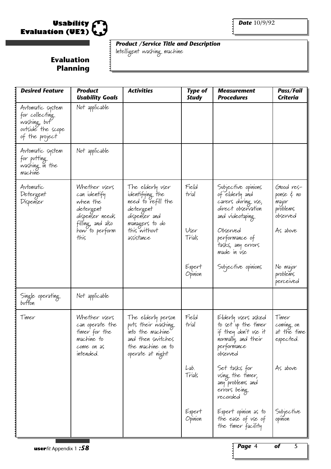

Intelligent washing machine

| <b>Desired Feature</b>                                                                    | <b>Product</b><br><b>Usability Goals</b>                                                                                 | <b>Activities</b>                                                                                                                       | <b>Type of</b><br><b>Study</b>   | <b>Measurement</b><br><b>Procedures</b>                                                                                                                                | Pass/Fail<br>Criteria                                                 |
|-------------------------------------------------------------------------------------------|--------------------------------------------------------------------------------------------------------------------------|-----------------------------------------------------------------------------------------------------------------------------------------|----------------------------------|------------------------------------------------------------------------------------------------------------------------------------------------------------------------|-----------------------------------------------------------------------|
| Avtomatic system<br>for collecting<br>washing, but<br>ovtside the scope<br>of the project | Not applicable                                                                                                           |                                                                                                                                         |                                  |                                                                                                                                                                        |                                                                       |
| Avtomatic system<br>for putting<br>washing in the<br>machine                              | Not applicable                                                                                                           |                                                                                                                                         |                                  |                                                                                                                                                                        |                                                                       |
| Automatic<br>Detergent<br>Dispenser                                                       | Whether users<br>can identify<br>when the<br>detergent<br>dispenser needs<br>filling, and also<br>how to perform<br>this | The elderly vser<br>identifying the<br>need to refill the<br>detergent<br>dispenser and<br>managers to do<br>this without<br>assistance | Field<br>trial<br>User<br>Trials | Subjective opinions<br>of elderly and<br>carers during use,<br>direct observation<br>and videotaping<br>Observed<br>performance of<br>tasks, any errors<br>made in use | Glood res-<br>ponse & no<br>major<br>problems<br>observed<br>As above |
|                                                                                           |                                                                                                                          |                                                                                                                                         | Expert<br>Opinion                | Subjective opinions                                                                                                                                                    | No major<br>problems<br>perceived                                     |
| Single operating.<br>button                                                               | Not applicable                                                                                                           |                                                                                                                                         |                                  |                                                                                                                                                                        |                                                                       |
| Timer                                                                                     | Whether users<br>can operate the<br>timer for the<br>machine to<br>come on as<br>intended.                               | The elderly person<br>puts their washing<br>into the machine"<br>and then switches<br>the machine on to<br>operate at night             | Field<br>trial                   | Elderly vsers asked<br>to set up the timer<br>if they don't use it<br>normally, and their<br>performance<br>observed                                                   | Timer<br>coming on<br>at the time<br>expected.                        |
|                                                                                           |                                                                                                                          |                                                                                                                                         | Lab.<br>Trials                   | Set tasks for<br>using the timer,<br>any problems and<br>errors being<br>recorded                                                                                      | As above                                                              |
|                                                                                           |                                                                                                                          |                                                                                                                                         | Expert<br>Opinion                | Expert opinion as to<br>the ease of use of<br>the timer facility                                                                                                       | Subjective<br>opinion                                                 |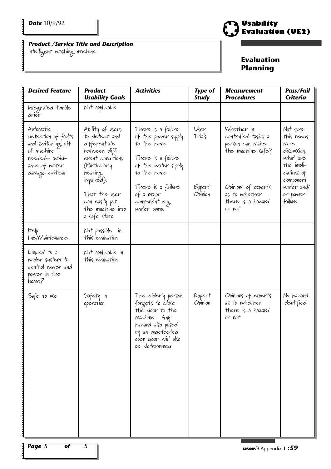Intelligent washing machine



| <b>Desired Feature</b>                                                                                                   | <b>Product</b><br><b>Usability Goals</b>                                                                                                                                                                  | <b>Activities</b>                                                                                                                                                                           | <b>Type of</b><br><b>Study</b>      | Measurement<br><b>Procedures</b>                                                                                                                | Pass/Fail<br><b>Criteria</b>                                                                                                            |
|--------------------------------------------------------------------------------------------------------------------------|-----------------------------------------------------------------------------------------------------------------------------------------------------------------------------------------------------------|---------------------------------------------------------------------------------------------------------------------------------------------------------------------------------------------|-------------------------------------|-------------------------------------------------------------------------------------------------------------------------------------------------|-----------------------------------------------------------------------------------------------------------------------------------------|
| Integrated tumble<br>drier                                                                                               | Not applicable                                                                                                                                                                                            |                                                                                                                                                                                             |                                     |                                                                                                                                                 |                                                                                                                                         |
| Automatic<br>detection of faults<br>and switching off<br>of machine<br>needed-avoid-<br>ance of water<br>damage critical | Ability of users<br>to detect and<br>differentiate<br>between diff-<br>erent conditions<br>(Particularly<br>hearing.<br>impaired).<br>That the vser<br>can easily put<br>the machine into<br>a safe state | There is a failure<br>of the power supply<br>to the home.<br>There is a failure<br>of the water supply<br>to the home.<br>There is a failure<br>of a major<br>component e.g.<br>water pump. | User<br>Trials<br>Expert<br>Opinion | Whether in<br>controlled tasks a<br>person can make<br>the machine safe?<br>Opinions of experts<br>as to whether<br>there is a hazard<br>or not | Not sure<br>this needs<br>more<br>discussion,<br>what are<br>the impli-<br>cations of<br>component<br>water and/<br>or power<br>failure |
| Help<br>l'ine/Maintenance                                                                                                | Not possible in<br>this evaluation                                                                                                                                                                        |                                                                                                                                                                                             |                                     |                                                                                                                                                 |                                                                                                                                         |
| Linked to a<br>wider system to<br>control water and<br>power in the<br>home?                                             | Not applicable in<br>this evaluation                                                                                                                                                                      |                                                                                                                                                                                             |                                     |                                                                                                                                                 |                                                                                                                                         |
| Safe to vse                                                                                                              | Safety in<br>operation                                                                                                                                                                                    | The elderly person<br>forgets to close<br>the door to the<br>machine. Any<br>hazard also posed<br>by an undetected<br>open door will also<br>be determined.                                 | Expert<br>Opinion                   | Opinions of experts<br>as to whether<br>there is a hazard<br>or not                                                                             | No hazard<br>identified                                                                                                                 |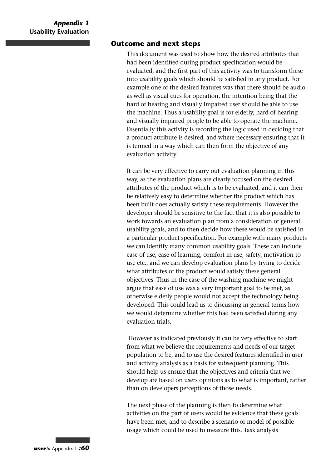#### **Outcome and next steps**

This document was used to show how the desired attributes that had been identified during product specification would be evaluated, and the first part of this activity was to transform these into usability goals which should be satisfied in any product. For example one of the desired features was that there should be audio as well as visual cues for operation, the intention being that the hard of hearing and visually impaired user should be able to use the machine. Thus a usability goal is for elderly, hard of hearing and visually impaired people to be able to operate the machine. Essentially this activity is recording the logic used in deciding that a product attribute is desired, and where necessary ensuring that it is termed in a way which can then form the objective of any evaluation activity.

It can be very effective to carry out evaluation planning in this way, as the evaluation plans are clearly focused on the desired attributes of the product which is to be evaluated, and it can then be relatively easy to determine whether the product which has been built does actually satisfy these requirements. However the developer should be sensitive to the fact that it is also possible to work towards an evaluation plan from a consideration of general usability goals, and to then decide how these would be satisfied in a particular product specification. For example with many products we can identify many common usability goals. These can include ease of use, ease of learning, comfort in use, safety, motivation to use etc., and we can develop evaluation plans by trying to decide what attributes of the product would satisfy these general objectives. Thus in the case of the washing machine we might argue that ease of use was a very important goal to be met, as otherwise elderly people would not accept the technology being developed. This could lead us to discussing in general terms how we would determine whether this had been satisfied during any evaluation trials.

However as indicated previously it can be very effective to start from what we believe the requirements and needs of our target population to be, and to use the desired features identified in user and activity analysis as a basis for subsequent planning. This should help us ensure that the objectives and criteria that we develop are based on users opinions as to what is important, rather than on developers perceptions of those needs.

The next phase of the planning is then to determine what activities on the part of users would be evidence that these goals have been met, and to describe a scenario or model of possible usage which could be used to measure this. Task analysis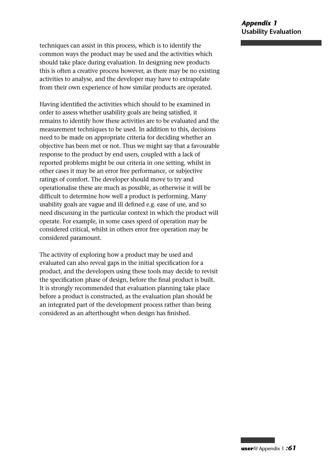techniques can assist in this process, which is to identify the common ways the product may be used and the activities which should take place during evaluation. In designing new products this is often a creative process however, as there may be no existing activities to analyse, and the developer may have to extrapolate from their own experience of how similar products are operated.

Having identified the activities which should to be examined in order to assess whether usability goals are being satisfied, it remains to identify how these activities are to be evaluated and the measurement techniques to be used. In addition to this, decisions need to be made on appropriate criteria for deciding whether an objective has been met or not. Thus we might say that a favourable response to the product by end users, coupled with a lack of reported problems might be our criteria in one setting, whilst in other cases it may be an error free performance, or subjective ratings of comfort. The developer should move to try and operationalise these are much as possible, as otherwise it will be difficult to determine how well a product is performing. Many usability goals are vague and ill defined e.g. ease of use, and so need discussing in the particular context in which the product will operate. For example, in some cases speed of operation may be considered critical, whilst in others error free operation may be considered paramount.

The activity of exploring how a product may be used and evaluated can also reveal gaps in the initial specification for a product, and the developers using these tools may decide to revisit the specification phase of design, before the final product is built. It is strongly recommended that evaluation planning take place before a product is constructed, as the evaluation plan should be an integrated part of the development process rather than being considered as an afterthought when design has finished.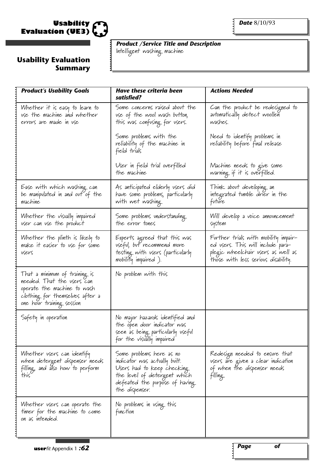

 $\ddot{•}$ 

# **Usability Evaluation Summary**

*Product /Service Title and Description*

Intelligent washing machine

| <b>Product's Usability Goals</b>                                                                                                                           | <b>Have these criteria been</b><br>satisfied?                                                                                                                                 | <b>Actions Needed</b>                                                                                                                                  |
|------------------------------------------------------------------------------------------------------------------------------------------------------------|-------------------------------------------------------------------------------------------------------------------------------------------------------------------------------|--------------------------------------------------------------------------------------------------------------------------------------------------------|
| Whether it is easy to learn to<br>use the machine and whether<br>errors are made in use                                                                    | Some concerns raised about the<br>use of the wool wash button,<br>this was confusing for users.                                                                               | Can the product be redesigned to<br>avtomatically detect woollen<br>washes.                                                                            |
|                                                                                                                                                            | Some problems with the<br>reliability of the machine in<br>field trials                                                                                                       | Need to identify problems in<br>reliability before final release                                                                                       |
|                                                                                                                                                            | User in field trial overfilled<br>the machine                                                                                                                                 | Machine needs to give some<br>warning if it is overfilled.                                                                                             |
| Ease with which washing can<br>be manipulated in and out of the<br>machine                                                                                 | As anticipated elderly users did<br>have some problems, particularly<br>with wet washing.                                                                                     | Think about developing an<br>integrated tumble drier in the<br>future                                                                                  |
| Whether the visvally impaired<br>user can use the product                                                                                                  | Some problems understanding<br>the error tones                                                                                                                                | Will develop a voice announcement<br>system                                                                                                            |
| Whether the plinth is likely to<br>make it easier to use for some<br>vsers                                                                                 | Experts agreed that this was<br>useful, but recommend more<br>testing with users (particularly<br>mobility impaired).                                                         | Further trials with mobility impair-<br>ed vsers. This will include para-<br>plegic wheelchair users as well as<br>those with less serious disability. |
| That a minimum of training is<br>needed. That the vsers can<br>operate the machine to wash<br>clothing for themselves after a<br>one hovr training session | No problem with this                                                                                                                                                          |                                                                                                                                                        |
| Safety in operation                                                                                                                                        | No major hazards identified and<br>the open door indicator was<br>seen as being particularly useful<br>for the visually impaired                                              |                                                                                                                                                        |
| Whether vsers can identify<br>when detergent dispenser needs<br>filling, and also how to perform<br>this                                                   | Some problems here as no<br>indicator was actually built.<br>Users had to keep checking.<br>the level of detergent which<br>defeated the purpose of having.<br>the dispenser. | Redesign needed to ensure that<br>users are given a clear indication<br>of when the dispenser needs<br>filling.                                        |
| Whether vsers can operate the<br>timer for the machine to come<br>on as intended.                                                                          | No problems in using this<br>function                                                                                                                                         |                                                                                                                                                        |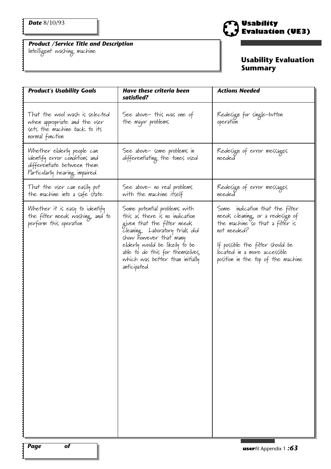Intelligent washing machine



# **Usability Evaluation Summary**

| <b>Product's Usability Goals</b>                                                                                             | <b>Have these criteria been</b><br>satisfied?                                                                                                                                                                                                                                     | <b>Actions Needed</b>                                                                                                                                                                                                           |
|------------------------------------------------------------------------------------------------------------------------------|-----------------------------------------------------------------------------------------------------------------------------------------------------------------------------------------------------------------------------------------------------------------------------------|---------------------------------------------------------------------------------------------------------------------------------------------------------------------------------------------------------------------------------|
| That the wool wash is selected<br>when appropriate and the vser<br>sets the machine back to its<br>normal function           | See above- this was one of<br>the major problems                                                                                                                                                                                                                                  | Redesign for single-button<br>operation                                                                                                                                                                                         |
| Whether elderly people can<br>identify error conditions and<br>differentiate between them.<br>Particularly hearing impaired. | See above- some problems in<br>differentiating the tones used                                                                                                                                                                                                                     | Redesign of error messages<br>needed                                                                                                                                                                                            |
| That the user can easily put<br>the machine into a safe state                                                                | See above- no real problems<br>with the machine itself                                                                                                                                                                                                                            | Redesign of error messages<br>needed                                                                                                                                                                                            |
| Whether it is easy to identify<br>the filter needs washing, and to<br>perform this operation                                 | Some potential problems with<br>this as there is no indication<br>given that the filter needs<br>Cleaning. Laboratory trials did<br>show however that many<br>elderly would be likely to be<br>able to do this for themselves,<br>which was better than initially<br>anticipated. | Some indication that the filter<br>needs cleaning, or a redesign of<br>the machine so that a filter is<br>not needed?<br>If possible the filter should be<br>located in a more accessible<br>position in the top of the machine |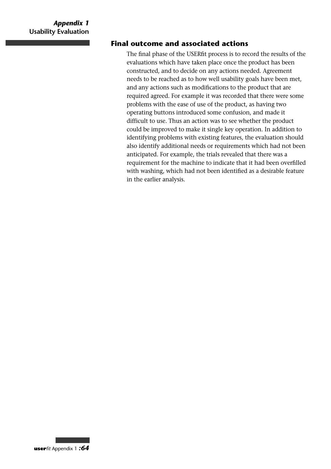# **Final outcome and associated actions**

The final phase of the USERfit process is to record the results of the evaluations which have taken place once the product has been constructed, and to decide on any actions needed. Agreement needs to be reached as to how well usability goals have been met, and any actions such as modifications to the product that are required agreed. For example it was recorded that there were some problems with the ease of use of the product, as having two operating buttons introduced some confusion, and made it difficult to use. Thus an action was to see whether the product could be improved to make it single key operation. In addition to identifying problems with existing features, the evaluation should also identify additional needs or requirements which had not been anticipated. For example, the trials revealed that there was a requirement for the machine to indicate that it had been overfilled with washing, which had not been identified as a desirable feature in the earlier analysis.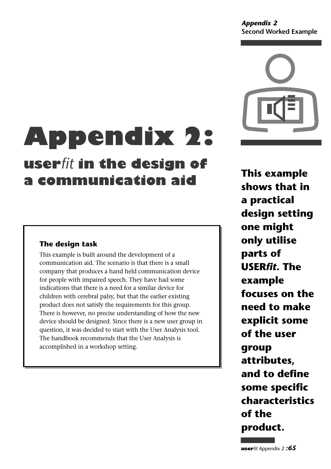#### *Appendix 2* **Second Worked Example**



# **Appendix 2:**

# **user***fit* **in the design of a communication aid**

# **The design task**

This example is built around the development of a communication aid. The scenario is that there is a small company that produces a hand held communication device for people with impaired speech. They have had some indications that there is a need for a similar device for children with cerebral palsy, but that the earlier existing product does not satisfy the requirements for this group. There is however, no precise understanding of how the new device should be designed. Since there is a new user group in question, it was decided to start with the User Analysis tool. The handbook recommends that the User Analysis is accomplished in a workshop setting.

**This example shows that in a practical design setting one might only utilise parts of USER***fit***. The example focuses on the need to make explicit some of the user group attributes, and to define some specific characteristics of the product.**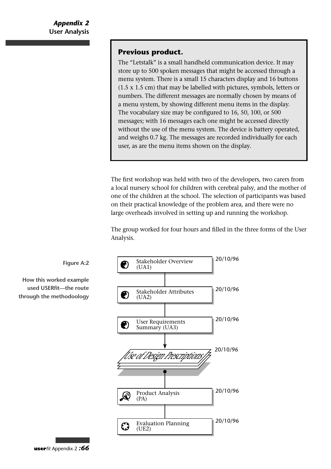#### **Previous product.**

The "Letstalk" is a small handheld communication device. It may store up to 500 spoken messages that might be accessed through a menu system. There is a small 15 characters display and 16 buttons (1.5 x 1.5 cm) that may be labelled with pictures, symbols, letters or numbers. The different messages are normally chosen by means of a menu system, by showing different menu items in the display. The vocabulary size may be configured to 16, 50, 100, or 500 messages; with 16 messages each one might be accessed directly without the use of the menu system. The device is battery operated, and weighs 0.7 kg. The messages are recorded individually for each user, as are the menu items shown on the display.

The first workshop was held with two of the developers, two carers from a local nursery school for children with cerebral palsy, and the mother of one of the children at the school. The selection of participants was based on their practical knowledge of the problem area, and there were no large overheads involved in setting up and running the workshop.

The group worked for four hours and filled in the three forms of the User Analysis.





**How this worked example used USERfit—the route through the methodoology**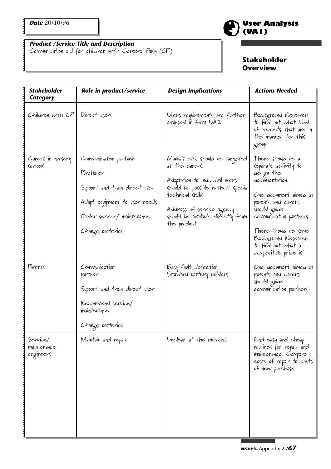Communication aid for children with Cerebral Palsy (CP)

# **Stakeholder Overview**

**(UA1)**

**User Analysis** 

| <b>Stakeholder</b><br><b>Category</b> | Role in product/service                                                                                                                                | <b>Design Implications</b>                                                                                                                                                                                                      | <b>Actions Needed</b>                                                                                                                                                                                                                                             |
|---------------------------------------|--------------------------------------------------------------------------------------------------------------------------------------------------------|---------------------------------------------------------------------------------------------------------------------------------------------------------------------------------------------------------------------------------|-------------------------------------------------------------------------------------------------------------------------------------------------------------------------------------------------------------------------------------------------------------------|
| Children with CP   Direct users       |                                                                                                                                                        | Users requirements are further<br>analysed in form UA2                                                                                                                                                                          | Background Research<br>to find out what kind<br>of products that are in<br>the market for this<br>group                                                                                                                                                           |
| Carers in nursery<br>schools          | Communication partner<br>Purchaser<br>Support and train direct user<br>Adapt equipment to user needs<br>Order service/ maintenance<br>Change batteries | Manvals etc. shovld be targeted<br>at the carers.<br>Adaptation to individual users<br>should be possible without special<br>technical skills.<br>Address of service agency<br>should be available directly from<br>the product | There should be a<br>separate activity to<br>design the<br>documentation.<br>One document aimed at<br>parents and carers<br>should guide<br>communication partners.<br>There should be some<br>Background Research<br>to find out what a<br>competitive price is. |
| Parents                               | Communication<br>partner<br>Support and train direct user<br>Recommend service/<br>maintenance<br>Change batteries                                     | Easy fault detection.<br>Standard battery holders                                                                                                                                                                               | One document aimed at<br>parents and carers<br>should guide<br>communication partners                                                                                                                                                                             |
| Service/<br>maintenance<br>engineers  | Maintain and repair                                                                                                                                    | Unclear at the moment.                                                                                                                                                                                                          | Find easy and cheap<br>routines for repair and<br>maintenance. Compare<br>costs of repair to costs<br>of new purchase                                                                                                                                             |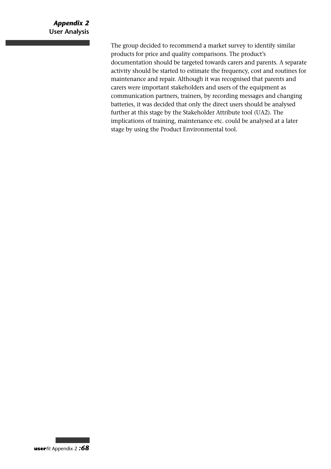#### *Appendix 2* **User Analysis**

The group decided to recommend a market survey to identify similar products for price and quality comparisons. The product's documentation should be targeted towards carers and parents. A separate activity should be started to estimate the frequency, cost and routines for maintenance and repair. Although it was recognised that parents and carers were important stakeholders and users of the equipment as communication partners, trainers, by recording messages and changing batteries, it was decided that only the direct users should be analysed further at this stage by the Stakeholder Attribute tool (UA2). The implications of training, maintenance etc. could be analysed at a later stage by using the Product Environmental tool.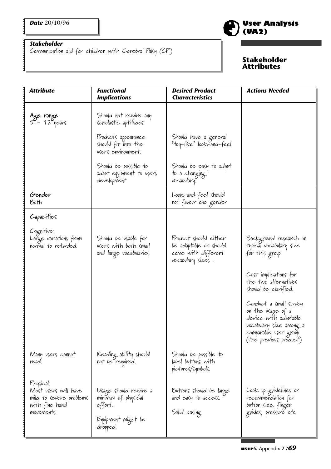J

#### *Stakeholder*

Communication aid for children with Cerebral Palsy (CP)

# **User Analysis (UA2)**

#### **Stakeholder Attributes**

| <b>Attribute</b>                                                                             | <b>Functional</b><br><b>Implications</b>                                                   | <b>Desired Product</b><br><b>Characteristics</b>                                            | <b>Actions Needed</b>                                                                                                                              |
|----------------------------------------------------------------------------------------------|--------------------------------------------------------------------------------------------|---------------------------------------------------------------------------------------------|----------------------------------------------------------------------------------------------------------------------------------------------------|
| Age range<br>5 - 12 years                                                                    | Shovld not require any<br>scholastic aptitudes                                             |                                                                                             |                                                                                                                                                    |
|                                                                                              | Products appearance<br>should fit into the<br>vsers environment.                           | Should have a general<br>"toy-like" look-and-feel                                           |                                                                                                                                                    |
|                                                                                              | Shovld be possible to<br>adapt equipment to users<br>development                           | Should be easy to adapt<br>to a changing<br>vocabulary.                                     |                                                                                                                                                    |
| Gender<br>Both                                                                               |                                                                                            | Look-and-feel should<br>not favovr one gender                                               |                                                                                                                                                    |
| Capacities                                                                                   |                                                                                            |                                                                                             |                                                                                                                                                    |
| Cognitive:<br>Large variations from<br>normal to retarded.                                   | Should be usable for<br>users with both small<br>and large vocabularies                    | Product should either<br>be adaptable or should<br>come with different<br>vocabulary sizes. | Background research on<br>typical vocabulary size<br>for this group.                                                                               |
|                                                                                              |                                                                                            |                                                                                             | Cost implications for<br>the two alternatives<br>should be clarified.                                                                              |
|                                                                                              |                                                                                            |                                                                                             | Conduct a small survey<br>on the usage of a<br>device with adaptable<br>vocabulary size among a<br>comparable vser group<br>(the previous product) |
| Many users cannot<br>read.                                                                   | Reading ability should<br>not be required.                                                 | Should be possible to<br>label buttons with<br>pictures/symbols.                            |                                                                                                                                                    |
| Physical:<br>Most vsers will have<br>mild to severe problems<br>with fine hand<br>movements. | Usage should require a<br>minimum of physical<br>effort.<br>Equipment might be<br>dropped. | Buttons should be large<br>and easy to access.<br>Solid casing                              | Look up guidelines or<br>recommendation for<br>button size, finger<br>gvides, pressvre etc.                                                        |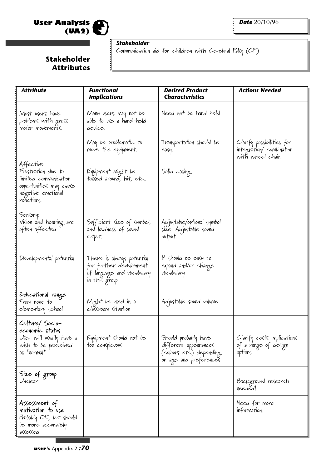



:::

#### *Stakeholder*

Communication aid for children with Cerebral Palsy (CP)

# **Stakeholder Attributes**

| <b>Attribute</b>                                                                                                         | <b>Functional</b><br><b>Implications</b>                                                            | <b>Desired Product</b><br><b>Characteristics</b>                                                    | <b>Actions Needed</b>                                                     |
|--------------------------------------------------------------------------------------------------------------------------|-----------------------------------------------------------------------------------------------------|-----------------------------------------------------------------------------------------------------|---------------------------------------------------------------------------|
| Most users have<br>problems with gross<br>motor movements.                                                               | Many users may not be<br>able to use a hand-held<br>device.                                         | Need not be hand held                                                                               |                                                                           |
|                                                                                                                          | May be problematic to<br>move the equipment.                                                        | Transportation should be<br>easy.                                                                   | Clarify possibilities for<br>integration/combination<br>with wheel chair. |
| Affective:<br>Frustration due to<br>limited communication<br>opportunities may cause<br>negative emotional<br>reactions. | Equipment might be<br>tossed around, hit, etc                                                       | Solid casing                                                                                        |                                                                           |
| Sensory:<br>Vision and hearing are<br>often affected                                                                     | Sufficient size of symbols<br>and lovdness of sovnd<br>ovtpvt.                                      | Adjustable/optional symbol<br>size. Adjustable sovnd<br>ovtpvt.                                     |                                                                           |
| Developmental potential                                                                                                  | There is always potential<br>for further development<br>of language and vocabulary<br>in this group | It should be easy to<br>expand and/or change<br>vocabulary                                          |                                                                           |
| Educational range<br>From none to<br>elementary school                                                                   | Might be vsed in a<br>classroom sitvation                                                           | Adjustable sound volume                                                                             |                                                                           |
| Culture/Socio-<br>economic status<br>User will usually have a<br>wish to be perceived<br>as "normal"                     | Equipment should not be<br>too conspicuous                                                          | Shovld probably have<br>different appearances<br>(colours etc.) depending<br>on age and preferences | Clarify costs implications<br>of a range of design<br>options             |
| Size of group<br>Unclear                                                                                                 |                                                                                                     |                                                                                                     | Background research<br>needed!                                            |
| Assessment of<br>motivation to use<br>Probably OK, but should<br>be more accurately<br>assessed                          |                                                                                                     |                                                                                                     | Need for more<br>information.                                             |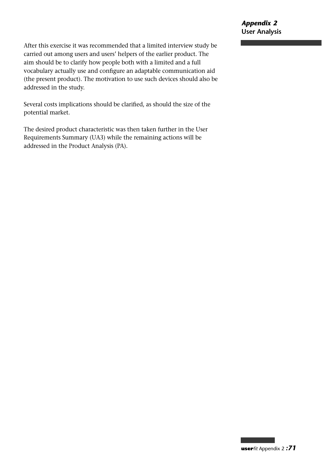After this exercise it was recommended that a limited interview study be carried out among users and users' helpers of the earlier product. The aim should be to clarify how people both with a limited and a full vocabulary actually use and configure an adaptable communication aid (the present product). The motivation to use such devices should also be addressed in the study.

Several costs implications should be clarified, as should the size of the potential market.

The desired product characteristic was then taken further in the User Requirements Summary (UA3) while the remaining actions will be addressed in the Product Analysis (PA).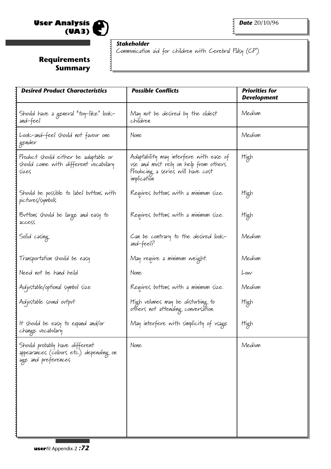

 $\ddot{•}$   $\ddot{•}$   $\ddot{•}$ 

# *Stakeholder*

Communication aid for children with Cerebral Palsy (CP)

# **Requirements Summary**

| <b>Desired Product Characteristics</b>                                                              | <b>Possible Conflicts</b>                                                                                                             | <b>Priorities for</b><br><b>Development</b> |
|-----------------------------------------------------------------------------------------------------|---------------------------------------------------------------------------------------------------------------------------------------|---------------------------------------------|
| Shovld have a general "toy-like" look-<br>and-feel                                                  | May not be desired by the oldest<br>children                                                                                          | Medium                                      |
| Look-and-feel should not favour one<br>gender                                                       | None                                                                                                                                  | Medium                                      |
| Product should either be adaptable or<br>shovld come with different vocabulary<br>size <sub>5</sub> | Adaptability may interfere with ease of<br>use and must rely on help from others.<br>Producing a series will have cost<br>implication | High                                        |
| Shovld be possible to label buttons with<br>pictures/symbols                                        | Requires buttons with a minimum size.                                                                                                 | High                                        |
| Buttons should be large and easy to<br>access                                                       | Requires buttons with a minimum size.                                                                                                 | High                                        |
| Solid casing                                                                                        | Can be contrary to the desired look-<br>and-feel?                                                                                     | Medium                                      |
| Transportation should be easy                                                                       | May require a minimum weight.                                                                                                         | Medium                                      |
| Need not be hand held                                                                               | None                                                                                                                                  | Low                                         |
| Adjustable/optional symbol size                                                                     | Requires buttons with a minimum size.                                                                                                 | Medium                                      |
| Adjustable sound output                                                                             | High volumes may be disturbing to<br>others not attending conversation.                                                               | High                                        |
| It should be easy to expand and/or<br>change vocabulary                                             | May interfere with simplicity of usage                                                                                                | High                                        |
| Should probably have different<br>appearances (colours etc.) depending on<br>age and preferences    | None                                                                                                                                  | Medium                                      |
|                                                                                                     |                                                                                                                                       |                                             |
|                                                                                                     |                                                                                                                                       |                                             |
|                                                                                                     |                                                                                                                                       |                                             |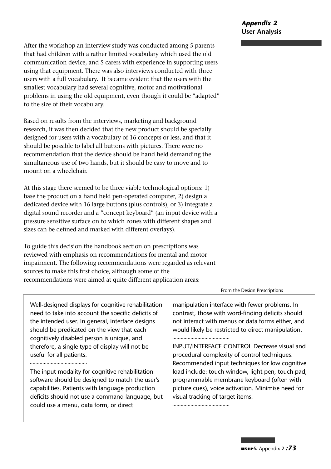After the workshop an interview study was conducted among 5 parents that had children with a rather limited vocabulary which used the old communication device, and 5 carers with experience in supporting users using that equipment. There was also interviews conducted with three users with a full vocabulary. It became evident that the users with the smallest vocabulary had several cognitive, motor and motivational problems in using the old equipment, even though it could be "adapted" to the size of their vocabulary.

Based on results from the interviews, marketing and background research, it was then decided that the new product should be specially designed for users with a vocabulary of 16 concepts or less, and that it should be possible to label all buttons with pictures. There were no recommendation that the device should be hand held demanding the simultaneous use of two hands, but it should be easy to move and to mount on a wheelchair.

At this stage there seemed to be three viable technological options: 1) base the product on a hand held pen-operated computer, 2) design a dedicated device with 16 large buttons (plus controls), or 3) integrate a digital sound recorder and a "concept keyboard" (an input device with a pressure sensitive surface on to which zones with different shapes and sizes can be defined and marked with different overlays).

To guide this decision the handbook section on prescriptions was reviewed with emphasis on recommendations for mental and motor impairment. The following recommendations were regarded as relevant sources to make this first choice, although some of the recommendations were aimed at quite different application areas:

#### From the Design Prescriptions

Well-designed displays for cognitive rehabilitation need to take into account the specific deficits of the intended user. In general, interface designs should be predicated on the view that each cognitively disabled person is unique, and therefore, a single type of display will not be useful for all patients.

.....................................

The input modality for cognitive rehabilitation software should be designed to match the user's capabilities. Patients with language production deficits should not use a command language, but could use a menu, data form, or direct

manipulation interface with fewer problems. In contrast, those with word-finding deficits should not interact with menus or data forms either, and would likely be restricted to direct manipulation. ......................................

INPUT/INTERFACE CONTROL Decrease visual and procedural complexity of control techniques. Recommended input techniques for low cognitive load include: touch window, light pen, touch pad, programmable membrane keyboard (often with picture cues), voice activation. Minimise need for visual tracking of target items.

.....................................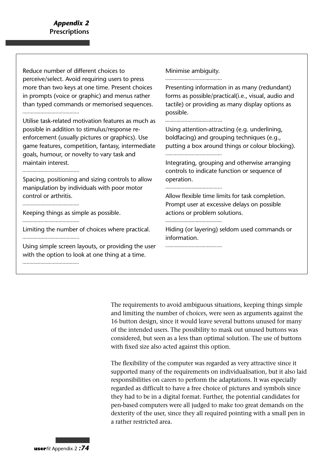Reduce number of different choices to Minimise ambiguity. perceive/select. Avoid requiring users to press .................................... more than two keys at one time. Present choices Presenting information in as many (redundant) in prompts (voice or graphic) and menus rather forms as possible/practical(i.e., visual, audio and than typed commands or memorised sequences. tactile) or providing as many display options as possible. Utilise task-related motivation features as much as possible in addition to stimulus/response re-Using attention-attracting (e.g. underlining, enforcement (usually pictures or graphics). Use boldfacing) and grouping techniques (e.g., game features, competition, fantasy, intermediate putting a box around things or colour blocking). ..................................... goals, humour, or novelty to vary task and maintain interest. Integrating, grouping and otherwise arranging controls to indicate function or sequence of Spacing, positioning and sizing controls to allow operation. manipulation by individuals with poor motor ...................................... control or arthritis. Allow flexible time limits for task completion. Prompt user at excessive delays on possible Keeping things as simple as possible. actions or problem solutions. ...................................... ...................................... Limiting the number of choices where practical. Hiding (or layering) seldom used commands or ..................................... information. Using simple screen layouts, or providing the user ...................................... with the option to look at one thing at a time. ......................................

> The requirements to avoid ambiguous situations, keeping things simple and limiting the number of choices, were seen as arguments against the 16 button design, since it would leave several buttons unused for many of the intended users. The possibility to mask out unused buttons was considered, but seen as a less than optimal solution. The use of buttons with fixed size also acted against this option.

The flexibility of the computer was regarded as very attractive since it supported many of the requirements on individualisation, but it also laid responsibilities on carers to perform the adaptations. It was especially regarded as difficult to have a free choice of pictures and symbols since they had to be in a digital format. Further, the potential candidates for pen-based computers were all judged to make too great demands on the dexterity of the user, since they all required pointing with a small pen in a rather restricted area.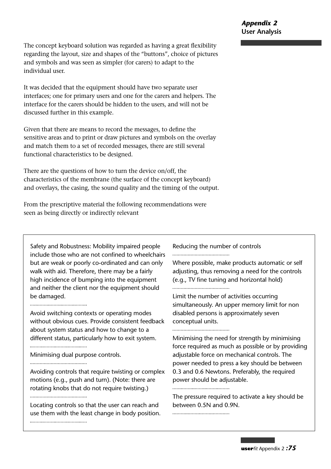The concept keyboard solution was regarded as having a great flexibility regarding the layout, size and shapes of the "buttons", choice of pictures and symbols and was seen as simpler (for carers) to adapt to the individual user.

It was decided that the equipment should have two separate user interfaces; one for primary users and one for the carers and helpers. The interface for the carers should be hidden to the users, and will not be discussed further in this example.

Given that there are means to record the messages, to define the sensitive areas and to print or draw pictures and symbols on the overlay and match them to a set of recorded messages, there are still several functional characteristics to be designed.

There are the questions of how to turn the device on/off, the characteristics of the membrane (the surface of the concept keyboard) and overlays, the casing, the sound quality and the timing of the output.

From the prescriptive material the following recommendations were seen as being directly or indirectly relevant

Safety and Robustness: Mobility impaired people include those who are not confined to wheelchairs but are weak or poorly co-ordinated and can only walk with aid. Therefore, there may be a fairly high incidence of bumping into the equipment and neither the client nor the equipment should be damaged.

......................................

Avoid switching contexts or operating modes without obvious cues. Provide consistent feedback about system status and how to change to a different status, particularly how to exit system. ......................................

Minimising dual purpose controls.

.....................................

Avoiding controls that require twisting or complex motions (e.g., push and turn). (Note: there are rotating knobs that do not require twisting.)

Locating controls so that the user can reach and use them with the least change in body position. .....................................

Reducing the number of controls .....................................

Where possible, make products automatic or self adjusting, thus removing a need for the controls (e.g., TV fine tuning and horizontal hold)

......................................

Limit the number of activities occurring simultaneously. An upper memory limit for non disabled persons is approximately seven conceptual units.

......................................

Minimising the need for strength by minimising force required as much as possible or by providing adjustable force on mechanical controls. The power needed to press a key should be between 0.3 and 0.6 Newtons. Preferably, the required power should be adjustable. .....................................

The pressure required to activate a key should be between 0.5N and 0.9N.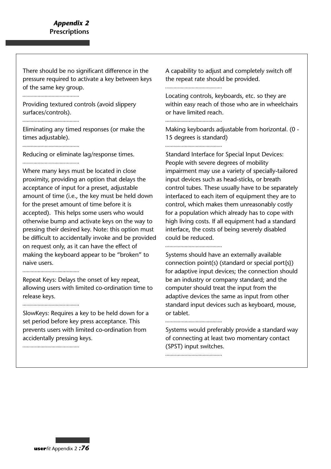There should be no significant difference in the pressure required to activate a key between keys of the same key group.

Providing textured controls (avoid slippery surfaces/controls).

Eliminating any timed responses (or make the times adjustable).

Reducing or eliminate lag/response times. .....................................

Where many keys must be located in close proximity, providing an option that delays the acceptance of input for a preset, adjustable amount of time (i.e., the key must be held down for the preset amount of time before it is accepted). This helps some users who would otherwise bump and activate keys on the way to pressing their desired key. Note: this option must be difficult to accidentally invoke and be provided on request only, as it can have the effect of making the keyboard appear to be "broken" to naive users. 

Repeat Keys: Delays the onset of key repeat, allowing users with limited co-ordination time to

release keys.

......................................

SlowKeys: Requires a key to be held down for a set period before key press acceptance. This prevents users with limited co-ordination from accidentally pressing keys.

A capability to adjust and completely switch off the repeat rate should be provided.

......................................

Locating controls, keyboards, etc. so they are within easy reach of those who are in wheelchairs or have limited reach.

Making keyboards adjustable from horizontal. (0 - 15 degrees is standard)

Standard Interface for Special Input Devices: People with severe degrees of mobility impairment may use a variety of specially-tailored input devices such as head-sticks, or breath control tubes. These usually have to be separately interfaced to each item of equipment they are to control, which makes them unreasonably costly for a population which already has to cope with high living costs. If all equipment had a standard interface, the costs of being severely disabled could be reduced.

Systems should have an externally available connection point(s) (standard or special port{s}) for adaptive input devices; the connection should be an industry or company standard; and the computer should treat the input from the adaptive devices the same as input from other standard input devices such as keyboard, mouse, or tablet.

Systems would preferably provide a standard way of connecting at least two momentary contact (SPST) input switches.

.....................................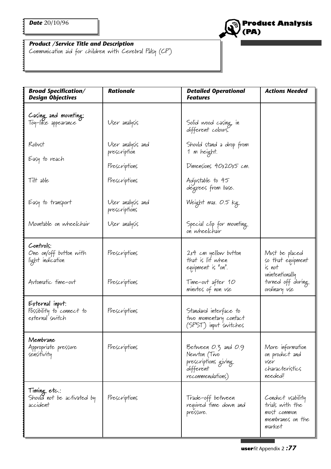

#### *Product /Service Title and Description*

Communication aid for children with Cerebral Palsy (CP)

| <b>Broad Specification/</b><br><b>Design Objectives</b>         | <b>Rationale</b>                   | <b>Detailed Operational</b><br><b>Features</b>                                              | <b>Actions Needed</b>                                                                                 |  |
|-----------------------------------------------------------------|------------------------------------|---------------------------------------------------------------------------------------------|-------------------------------------------------------------------------------------------------------|--|
| Casing and mounting:<br>Toy-like appearance                     | User analysis                      | Solid wood casing, in<br>different colours.                                                 |                                                                                                       |  |
| Robust<br>Easy to reach                                         | User analysis and<br>prescription  | Shovld stand a drop from<br>1 m height.                                                     |                                                                                                       |  |
|                                                                 | Prescriptions                      | Dimensions 40x20x5 cm.                                                                      |                                                                                                       |  |
| Tilt able                                                       | Prescriptions                      | Adjustable to 45<br>degrees from base.                                                      |                                                                                                       |  |
| Easy to transport                                               | User analysis and<br>prescriptions | Weight max. 0.5 kg                                                                          |                                                                                                       |  |
| Mountable on wheelchair                                         | User analysis                      | Special clip for mounting<br>on wheelchair                                                  |                                                                                                       |  |
| Controls:<br>One on/off button with<br>light indication         | Prescriptions                      | $2x4$ cm yellow button<br>that is lit when<br>equipment is "on".                            | Must be placed<br>so that equipment<br>is not<br>unintentionally<br>turned off during<br>ordinary vse |  |
| Automatic time-out                                              | Prescriptions                      | Time-out after 10<br>minutes of non use                                                     |                                                                                                       |  |
| External input:<br>Possibility to connect to<br>external switch | Prescriptions                      | Standard interface to<br>two momentary contact<br>(SPST) input switches                     |                                                                                                       |  |
| Membrane<br>Appropriate pressure<br>sensitivity                 | Prescriptions                      | Between 0.3 and 0.9<br>Newton (Two<br>prescriptions giving<br>different<br>recommendations) | More information<br>on product and<br>vser<br>characterístics<br>needed!                              |  |
| Timing etc.:<br>Should not be activated by<br>accident          | Prescriptions                      | Trade-off between<br>required time down and<br>pressure.                                    | Conduct usability<br>trials with the<br>most common<br>membranes on the<br>market                     |  |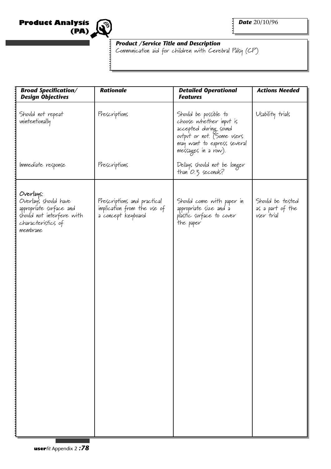



E

### *Product /Service Title and Description*

Communication aid for children with Cerebral Palsy (CP)

| <b>Broad Specification/</b><br><b>Design Objectives</b>                                                                      | <b>Rationale</b>                                                                 | <b>Detailed Operational</b><br><b>Features</b>                                                                                                                | <b>Actions Needed</b>                              |  |
|------------------------------------------------------------------------------------------------------------------------------|----------------------------------------------------------------------------------|---------------------------------------------------------------------------------------------------------------------------------------------------------------|----------------------------------------------------|--|
| Should not repeat<br>unintentionally                                                                                         | Prescriptions                                                                    | Should be possible to<br>choose whether input is<br>accepted during sound<br>ovtpvt or not. (Some users<br>may want to express several<br>messages in a row). | Usability trials                                   |  |
| Immediate response                                                                                                           | Prescriptions                                                                    | Delays should not be longer<br>than 0.3 seconds?                                                                                                              |                                                    |  |
| Overlays:<br>Overlay's should have<br>appropriate surface and<br>should not interfere with<br>characteristics of<br>membrane | Prescriptions and practical<br>implication from the use of<br>a concept keyboard | Should come with paper in<br>appropriate size and a<br>plastic svrface to cover<br>the paper                                                                  | Should be tested<br>as a part of the<br>vser trial |  |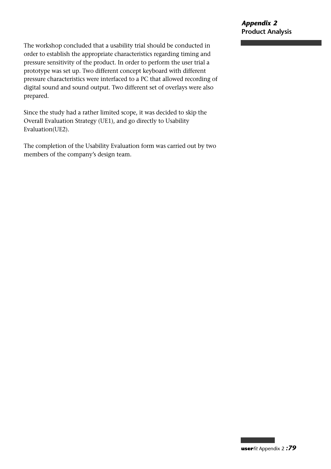The workshop concluded that a usability trial should be conducted in order to establish the appropriate characteristics regarding timing and pressure sensitivity of the product. In order to perform the user trial a prototype was set up. Two different concept keyboard with different pressure characteristics were interfaced to a PC that allowed recording of digital sound and sound output. Two different set of overlays were also prepared.

Since the study had a rather limited scope, it was decided to skip the Overall Evaluation Strategy (UE1), and go directly to Usability Evaluation(UE2).

The completion of the Usability Evaluation form was carried out by two members of the company's design team.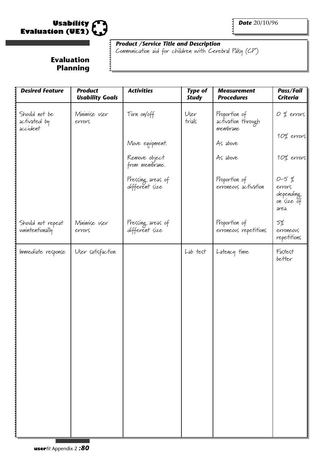

*Date* 20/10/96

### *Product /Service Title and Description*

Communication aid for children with Cerebral Palsy (CP)

## **Evaluation Planning**

| <b>Desired Feature</b>                    | <b>Product</b><br><b>Usability Goals</b> | <b>Activities</b>                   | <b>Type of</b><br><b>Study</b> | <b>Measurement</b><br><b>Procedures</b>                     | Pass/Fail<br><b>Criteria</b>                           |
|-------------------------------------------|------------------------------------------|-------------------------------------|--------------------------------|-------------------------------------------------------------|--------------------------------------------------------|
| Should not be<br>activated by<br>accident | Minimise vser<br>errors                  | Turn on/off<br>Move equipment.      | User<br>trials                 | Proportion of<br>activation through<br>membrane<br>As above | O % errors<br>10% errors                               |
|                                           |                                          | Remove object<br>from membrane.     |                                | As above                                                    | 10% errors                                             |
|                                           |                                          | Pressing areas of<br>different size |                                | Proportion of<br>erroneous activation                       | $0 - 5%$<br>errors<br>depending<br>on size of<br>area. |
| Should not repeat<br>uunintentionally     | Minimise vser<br>errors                  | Pressing areas of<br>different size |                                | Proportion of<br>erroneous repetitions                      | 5%<br>erroneous<br>repetitions                         |
| Immediate response                        | User satisfaction                        |                                     | Lab test                       | Latency time                                                | Fastest<br>better                                      |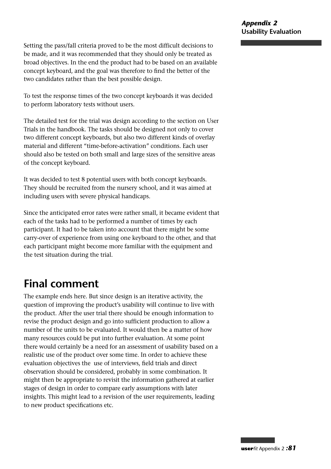Setting the pass/fall criteria proved to be the most difficult decisions to be made, and it was recommended that they should only be treated as broad objectives. In the end the product had to be based on an available concept keyboard, and the goal was therefore to find the better of the two candidates rather than the best possible design.

To test the response times of the two concept keyboards it was decided to perform laboratory tests without users.

The detailed test for the trial was design according to the section on User Trials in the handbook. The tasks should be designed not only to cover two different concept keyboards, but also two different kinds of overlay material and different "time-before-activation" conditions. Each user should also be tested on both small and large sizes of the sensitive areas of the concept keyboard.

It was decided to test 8 potential users with both concept keyboards. They should be recruited from the nursery school, and it was aimed at including users with severe physical handicaps.

Since the anticipated error rates were rather small, it became evident that each of the tasks had to be performed a number of times by each participant. It had to be taken into account that there might be some carry-over of experience from using one keyboard to the other, and that each participant might become more familiar with the equipment and the test situation during the trial.

# **Final comment**

The example ends here. But since design is an iterative activity, the question of improving the product's usability will continue to live with the product. After the user trial there should be enough information to revise the product design and go into sufficient production to allow a number of the units to be evaluated. It would then be a matter of how many resources could be put into further evaluation. At some point there would certainly be a need for an assessment of usability based on a realistic use of the product over some time. In order to achieve these evaluation objectives the use of interviews, field trials and direct observation should be considered, probably in some combination. It might then be appropriate to revisit the information gathered at earlier stages of design in order to compare early assumptions with later insights. This might lead to a revision of the user requirements, leading to new product specifications etc.